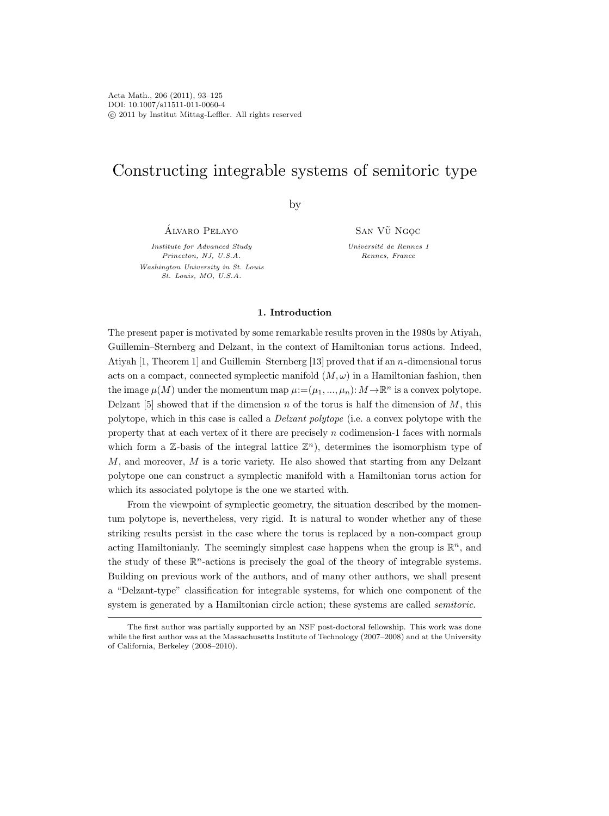# Constructing integrable systems of semitoric type

by

Alvaro Pelayo ´

Institute for Advanced Study Princeton, NJ, U.S.A. Washington University in St. Louis St. Louis, MO, U.S.A.

SAN VŨ NGOC

Université de Rennes 1 Rennes, France

# 1. Introduction

The present paper is motivated by some remarkable results proven in the 1980s by Atiyah, Guillemin–Sternberg and Delzant, in the context of Hamiltonian torus actions. Indeed, Atiyah  $[1,$  Theorem 1] and Guillemin–Sternberg  $[13]$  proved that if an *n*-dimensional torus acts on a compact, connected symplectic manifold  $(M, \omega)$  in a Hamiltonian fashion, then the image  $\mu(M)$  under the momentum map  $\mu := (\mu_1, ..., \mu_n): M \to \mathbb{R}^n$  is a convex polytope. Delzant [5] showed that if the dimension n of the torus is half the dimension of  $M$ , this polytope, which in this case is called a Delzant polytope (i.e. a convex polytope with the property that at each vertex of it there are precisely  $n$  codimension-1 faces with normals which form a  $\mathbb{Z}$ -basis of the integral lattice  $\mathbb{Z}^n$ ), determines the isomorphism type of M, and moreover, M is a toric variety. He also showed that starting from any Delzant polytope one can construct a symplectic manifold with a Hamiltonian torus action for which its associated polytope is the one we started with.

From the viewpoint of symplectic geometry, the situation described by the momentum polytope is, nevertheless, very rigid. It is natural to wonder whether any of these striking results persist in the case where the torus is replaced by a non-compact group acting Hamiltonianly. The seemingly simplest case happens when the group is  $\mathbb{R}^n$ , and the study of these  $\mathbb{R}^n$ -actions is precisely the goal of the theory of integrable systems. Building on previous work of the authors, and of many other authors, we shall present a "Delzant-type" classification for integrable systems, for which one component of the system is generated by a Hamiltonian circle action; these systems are called *semitoric*.

The first author was partially supported by an NSF post-doctoral fellowship. This work was done while the first author was at the Massachusetts Institute of Technology (2007–2008) and at the University of California, Berkeley (2008–2010).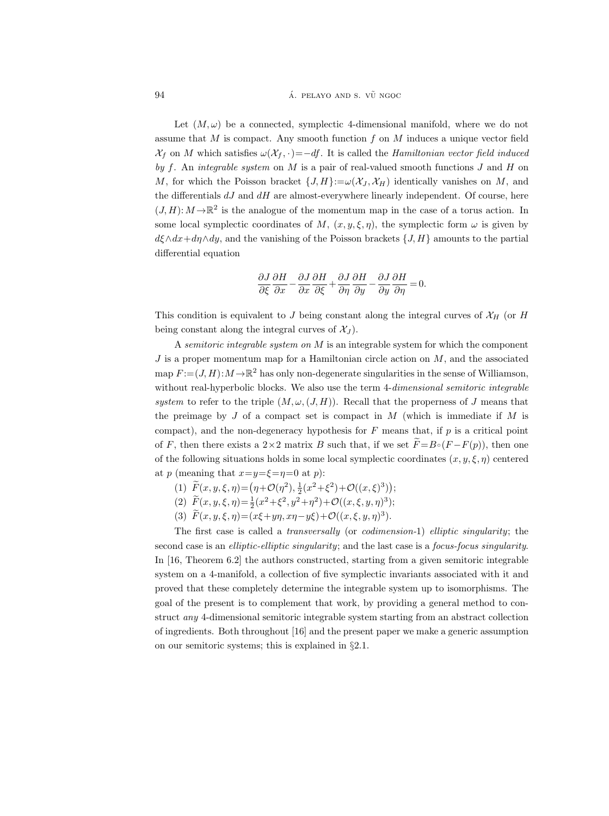#### 94 **a.** pelayo and s. v  $\tilde{U}$  ngoc

Let  $(M, \omega)$  be a connected, symplectic 4-dimensional manifold, where we do not assume that  $M$  is compact. Any smooth function  $f$  on  $M$  induces a unique vector field  $\mathcal{X}_f$  on M which satisfies  $\omega(\mathcal{X}_f, \cdot)=-df$ . It is called the Hamiltonian vector field induced by f. An integrable system on  $M$  is a pair of real-valued smooth functions  $J$  and  $H$  on M, for which the Poisson bracket  $\{J, H\}:=\omega(\mathcal{X}_J, \mathcal{X}_H)$  identically vanishes on M, and the differentials  $dJ$  and  $dH$  are almost-everywhere linearly independent. Of course, here  $(J, H): M \to \mathbb{R}^2$  is the analogue of the momentum map in the case of a torus action. In some local symplectic coordinates of M,  $(x, y, \xi, \eta)$ , the symplectic form  $\omega$  is given by  $d\xi \wedge dx + d\eta \wedge dy$ , and the vanishing of the Poisson brackets  $\{J, H\}$  amounts to the partial differential equation

$$
\frac{\partial J}{\partial \xi} \frac{\partial H}{\partial x} - \frac{\partial J}{\partial x} \frac{\partial H}{\partial \xi} + \frac{\partial J}{\partial \eta} \frac{\partial H}{\partial y} - \frac{\partial J}{\partial y} \frac{\partial H}{\partial \eta} = 0.
$$

This condition is equivalent to J being constant along the integral curves of  $\mathcal{X}_H$  (or H being constant along the integral curves of  $\mathcal{X}_J$ ).

A semitoric integrable system on  $M$  is an integrable system for which the component  $J$  is a proper momentum map for a Hamiltonian circle action on  $M$ , and the associated map  $F := (J, H) : M \to \mathbb{R}^2$  has only non-degenerate singularities in the sense of Williamson, without real-hyperbolic blocks. We also use the term 4-dimensional semitoric integrable system to refer to the triple  $(M, \omega, (J, H))$ . Recall that the properness of J means that the preimage by  $J$  of a compact set is compact in  $M$  (which is immediate if  $M$  is compact), and the non-degeneracy hypothesis for  $F$  means that, if  $p$  is a critical point of F, then there exists a 2×2 matrix B such that, if we set  $\widetilde{F} = B \circ (F - F(p))$ , then one of the following situations holds in some local symplectic coordinates  $(x, y, \xi, \eta)$  centered at p (meaning that  $x=y=\xi=\eta=0$  at p):

- (1)  $\tilde{F}(x, y, \xi, \eta) = (\eta + \mathcal{O}(\eta^2), \frac{1}{2}(x^2 + \xi^2) + \mathcal{O}((x, \xi)^3));$
- (2)  $\tilde{F}(x, y, \xi, \eta) = \frac{1}{2}(x^2 + \xi^2, y^2 + \eta^2) + \mathcal{O}((x, \xi, y, \eta)^3);$
- (3)  $\bar{F}(x, y, \xi, \eta) = (x\xi + y\eta, x\eta y\xi) + \mathcal{O}((x, \xi, y, \eta)^3).$

The first case is called a transversally (or codimension-1) elliptic singularity; the second case is an *elliptic-elliptic singularity*; and the last case is a *focus-focus singularity*. In [16, Theorem 6.2] the authors constructed, starting from a given semitoric integrable system on a 4-manifold, a collection of five symplectic invariants associated with it and proved that these completely determine the integrable system up to isomorphisms. The goal of the present is to complement that work, by providing a general method to construct any 4-dimensional semitoric integrable system starting from an abstract collection of ingredients. Both throughout [16] and the present paper we make a generic assumption on our semitoric systems; this is explained in §2.1.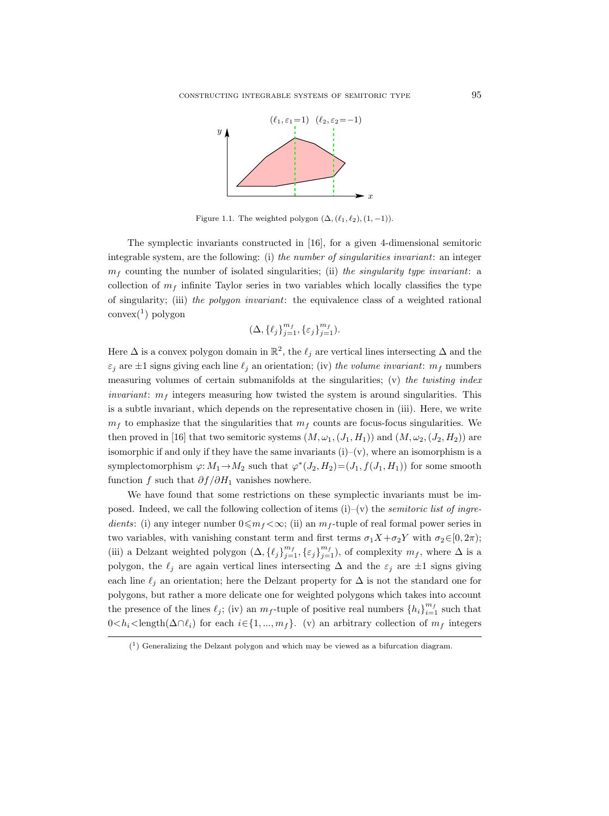

Figure 1.1. The weighted polygon  $(\Delta, (\ell_1, \ell_2), (1, -1))$ .

The symplectic invariants constructed in [16], for a given 4-dimensional semitoric integrable system, are the following: (i) the number of singularities invariant: an integer  $m_f$  counting the number of isolated singularities; (ii) the singularity type invariant: a collection of  $m_f$  infinite Taylor series in two variables which locally classifies the type of singularity; (iii) the polygon invariant: the equivalence class of a weighted rational convex(<sup>1</sup> ) polygon

$$
(\Delta, \{\ell_j\}_{j=1}^{m_f}, \{\varepsilon_j\}_{j=1}^{m_f}).
$$

Here  $\Delta$  is a convex polygon domain in  $\mathbb{R}^2$ , the  $\ell_j$  are vertical lines intersecting  $\Delta$  and the  $\varepsilon_j$  are  $\pm 1$  signs giving each line  $\ell_j$  an orientation; (iv) the volume invariant:  $m_f$  numbers measuring volumes of certain submanifolds at the singularities;  $(v)$  the twisting index *invariant:*  $m_f$  integers measuring how twisted the system is around singularities. This is a subtle invariant, which depends on the representative chosen in (iii). Here, we write  $m_f$  to emphasize that the singularities that  $m_f$  counts are focus-focus singularities. We then proved in [16] that two semitoric systems  $(M, \omega_1, (J_1, H_1))$  and  $(M, \omega_2, (J_2, H_2))$  are isomorphic if and only if they have the same invariants  $(i)-(v)$ , where an isomorphism is a symplectomorphism  $\varphi: M_1 \to M_2$  such that  $\varphi^*(J_2, H_2) = (J_1, f(J_1, H_1))$  for some smooth function f such that  $\partial f / \partial H_1$  vanishes nowhere.

We have found that some restrictions on these symplectic invariants must be imposed. Indeed, we call the following collection of items  $(i)-(v)$  the *semitoric list of ingre*dients: (i) any integer number  $0 \leq m_f < \infty$ ; (ii) an  $m_f$ -tuple of real formal power series in two variables, with vanishing constant term and first terms  $\sigma_1 X + \sigma_2 Y$  with  $\sigma_2 \in [0, 2\pi);$ (iii) a Delzant weighted polygon  $(\Delta, {\{\ell_j\}}_{j=1}^{m_f}, {\{\varepsilon_j\}}_{j=1}^{m_f})$ , of complexity  $m_f$ , where  $\Delta$  is a polygon, the  $\ell_j$  are again vertical lines intersecting  $\Delta$  and the  $\varepsilon_j$  are  $\pm 1$  signs giving each line  $\ell_j$  an orientation; here the Delzant property for  $\Delta$  is not the standard one for polygons, but rather a more delicate one for weighted polygons which takes into account the presence of the lines  $\ell_j$ ; (iv) an  $m_f$ -tuple of positive real numbers  $\{h_i\}_{i=1}^{m_f}$  such that  $0 < h_i <$ length $(\Delta \cap \ell_i)$  for each  $i \in \{1, ..., m_f\}$ . (v) an arbitrary collection of  $m_f$  integers

 $(1)$  Generalizing the Delzant polygon and which may be viewed as a bifurcation diagram.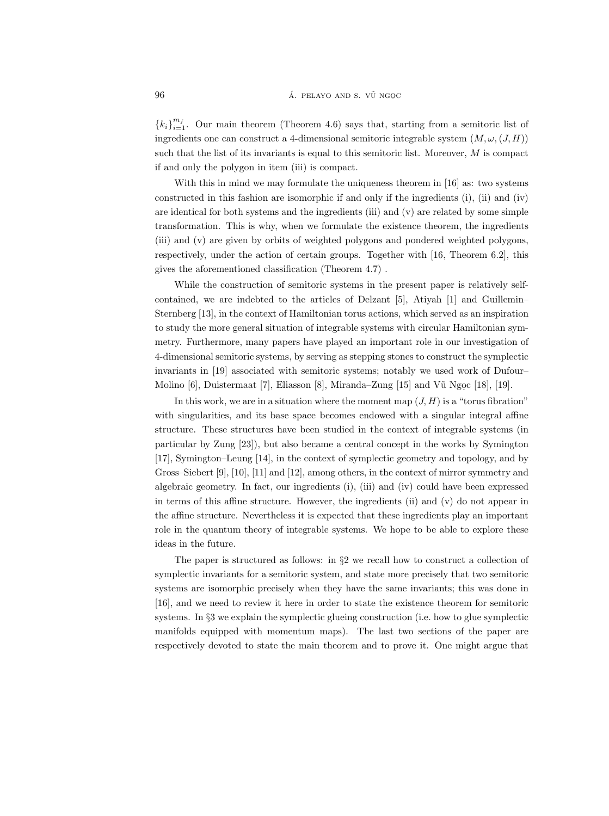${k_i}_{i=1}^{m_f}$ . Our main theorem (Theorem 4.6) says that, starting from a semitoric list of ingredients one can construct a 4-dimensional semitoric integrable system  $(M, \omega, (J, H))$ such that the list of its invariants is equal to this semitoric list. Moreover,  $M$  is compact if and only the polygon in item (iii) is compact.

With this in mind we may formulate the uniqueness theorem in [16] as: two systems constructed in this fashion are isomorphic if and only if the ingredients (i), (ii) and (iv) are identical for both systems and the ingredients (iii) and (v) are related by some simple transformation. This is why, when we formulate the existence theorem, the ingredients (iii) and (v) are given by orbits of weighted polygons and pondered weighted polygons, respectively, under the action of certain groups. Together with [16, Theorem 6.2], this gives the aforementioned classification (Theorem 4.7) .

While the construction of semitoric systems in the present paper is relatively selfcontained, we are indebted to the articles of Delzant [5], Atiyah [1] and Guillemin– Sternberg [13], in the context of Hamiltonian torus actions, which served as an inspiration to study the more general situation of integrable systems with circular Hamiltonian symmetry. Furthermore, many papers have played an important role in our investigation of 4-dimensional semitoric systems, by serving as stepping stones to construct the symplectic invariants in [19] associated with semitoric systems; notably we used work of Dufour– Molino  $[6]$ , Duistermaat  $[7]$ , Eliasson  $[8]$ , Miranda–Zung  $[15]$  and V $\tilde{u}$  Ngoc  $[18]$ ,  $[19]$ .

In this work, we are in a situation where the moment map  $(J, H)$  is a "torus fibration" with singularities, and its base space becomes endowed with a singular integral affine structure. These structures have been studied in the context of integrable systems (in particular by Zung [23]), but also became a central concept in the works by Symington [17], Symington–Leung [14], in the context of symplectic geometry and topology, and by Gross–Siebert [9], [10], [11] and [12], among others, in the context of mirror symmetry and algebraic geometry. In fact, our ingredients (i), (iii) and (iv) could have been expressed in terms of this affine structure. However, the ingredients (ii) and (v) do not appear in the affine structure. Nevertheless it is expected that these ingredients play an important role in the quantum theory of integrable systems. We hope to be able to explore these ideas in the future.

The paper is structured as follows: in §2 we recall how to construct a collection of symplectic invariants for a semitoric system, and state more precisely that two semitoric systems are isomorphic precisely when they have the same invariants; this was done in [16], and we need to review it here in order to state the existence theorem for semitoric systems. In §3 we explain the symplectic glueing construction (i.e. how to glue symplectic manifolds equipped with momentum maps). The last two sections of the paper are respectively devoted to state the main theorem and to prove it. One might argue that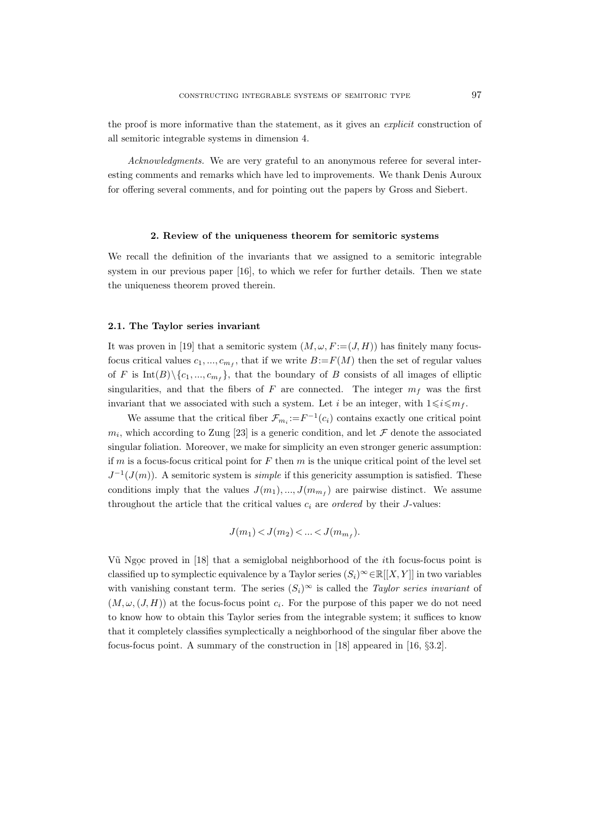the proof is more informative than the statement, as it gives an explicit construction of all semitoric integrable systems in dimension 4.

Acknowledgments. We are very grateful to an anonymous referee for several interesting comments and remarks which have led to improvements. We thank Denis Auroux for offering several comments, and for pointing out the papers by Gross and Siebert.

#### 2. Review of the uniqueness theorem for semitoric systems

We recall the definition of the invariants that we assigned to a semitoric integrable system in our previous paper [16], to which we refer for further details. Then we state the uniqueness theorem proved therein.

# 2.1. The Taylor series invariant

It was proven in [19] that a semitoric system  $(M, \omega, F = (J, H))$  has finitely many focusfocus critical values  $c_1, ..., c_{m_f}$ , that if we write  $B = F(M)$  then the set of regular values of F is  $Int(B)\setminus \{c_1, ..., c_{m_f}\}$ , that the boundary of B consists of all images of elliptic singularities, and that the fibers of F are connected. The integer  $m_f$  was the first invariant that we associated with such a system. Let i be an integer, with  $1 \leq i \leq m_f$ .

We assume that the critical fiber  $\mathcal{F}_{m_i} := F^{-1}(c_i)$  contains exactly one critical point  $m_i$ , which according to Zung [23] is a generic condition, and let  $\mathcal F$  denote the associated singular foliation. Moreover, we make for simplicity an even stronger generic assumption: if m is a focus-focus critical point for F then m is the unique critical point of the level set  $J^{-1}(J(m))$ . A semitoric system is *simple* if this genericity assumption is satisfied. These conditions imply that the values  $J(m_1),..., J(m_{m_f})$  are pairwise distinct. We assume throughout the article that the critical values  $c_i$  are *ordered* by their *J*-values:

$$
J(m_1) < J(m_2) < \dots < J(m_{m_f}).
$$

Vũ Ngọc proved in [18] that a semiglobal neighborhood of the *i*th focus-focus point is classified up to symplectic equivalence by a Taylor series  $(S_i)^\infty \in \mathbb{R}[[X, Y]]$  in two variables with vanishing constant term. The series  $(S_i)^\infty$  is called the *Taylor series invariant* of  $(M, \omega, (J, H))$  at the focus-focus point  $c_i$ . For the purpose of this paper we do not need to know how to obtain this Taylor series from the integrable system; it suffices to know that it completely classifies symplectically a neighborhood of the singular fiber above the focus-focus point. A summary of the construction in [18] appeared in [16, §3.2].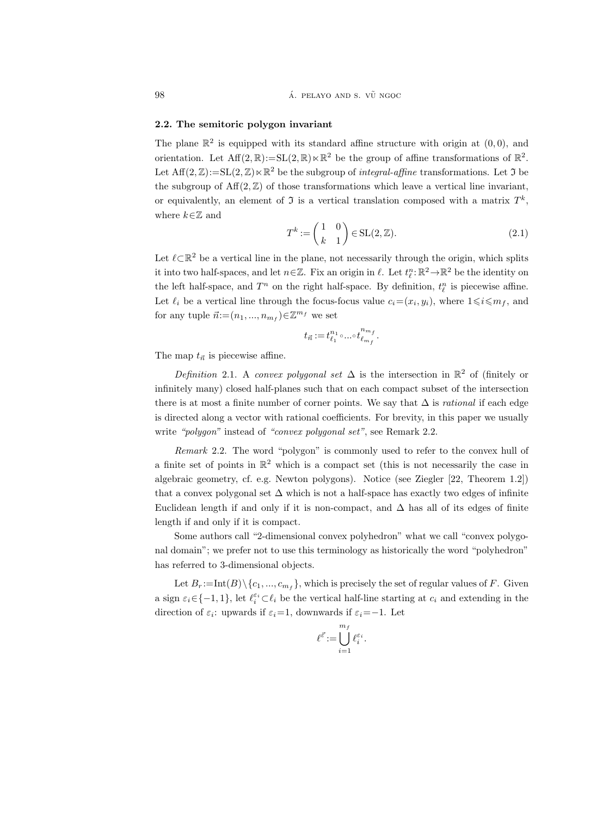# 2.2. The semitoric polygon invariant

The plane  $\mathbb{R}^2$  is equipped with its standard affine structure with origin at  $(0,0)$ , and orientation. Let  $\text{Aff}(2,\mathbb{R}) := \text{SL}(2,\mathbb{R}) \ltimes \mathbb{R}^2$  be the group of affine transformations of  $\mathbb{R}^2$ . Let  $\text{Aff}(2,\mathbb{Z}):=\text{SL}(2,\mathbb{Z})\ltimes\mathbb{R}^2$  be the subgroup of *integral-affine* transformations. Let  $\mathfrak I$  be the subgroup of  $\text{Aff}(2,\mathbb{Z})$  of those transformations which leave a vertical line invariant, or equivalently, an element of  $\mathfrak I$  is a vertical translation composed with a matrix  $T^k$ , where  $k{\in}\mathbb{Z}$  and

$$
T^k := \begin{pmatrix} 1 & 0 \\ k & 1 \end{pmatrix} \in SL(2, \mathbb{Z}).
$$
\n(2.1)

Let  $\ell \subset \mathbb{R}^2$  be a vertical line in the plane, not necessarily through the origin, which splits it into two half-spaces, and let  $n \in \mathbb{Z}$ . Fix an origin in  $\ell$ . Let  $t_{\ell}^{n} \colon \mathbb{R}^{2} \to \mathbb{R}^{2}$  be the identity on the left half-space, and  $T^n$  on the right half-space. By definition,  $t_{\ell}^n$  is piecewise affine. Let  $\ell_i$  be a vertical line through the focus-focus value  $c_i = (x_i, y_i)$ , where  $1 \leq i \leq m_f$ , and for any tuple  $\vec{n}$ := $(n_1, ..., n_{m_f}) \in \mathbb{Z}^{m_f}$  we set

$$
t_{\vec{n}}:=t_{\ell_1}^{n_1}\circ...\circ t_{\ell_{m_f}}^{n_{m_f}}
$$

.

The map  $t_{\vec{n}}$  is piecewise affine.

Definition 2.1. A convex polygonal set  $\Delta$  is the intersection in  $\mathbb{R}^2$  of (finitely or infinitely many) closed half-planes such that on each compact subset of the intersection there is at most a finite number of corner points. We say that  $\Delta$  is *rational* if each edge is directed along a vector with rational coefficients. For brevity, in this paper we usually write "polygon" instead of "convex polygonal set", see Remark 2.2.

Remark 2.2. The word "polygon" is commonly used to refer to the convex hull of a finite set of points in  $\mathbb{R}^2$  which is a compact set (this is not necessarily the case in algebraic geometry, cf. e.g. Newton polygons). Notice (see Ziegler [22, Theorem 1.2]) that a convex polygonal set  $\Delta$  which is not a half-space has exactly two edges of infinite Euclidean length if and only if it is non-compact, and  $\Delta$  has all of its edges of finite length if and only if it is compact.

Some authors call "2-dimensional convex polyhedron" what we call "convex polygonal domain"; we prefer not to use this terminology as historically the word "polyhedron" has referred to 3-dimensional objects.

Let  $B_r := \text{Int}(B) \setminus \{c_1, ..., c_{m_f}\}$ , which is precisely the set of regular values of F. Given a sign  $\varepsilon_i \in \{-1, 1\}$ , let  $\ell_i^{\varepsilon_i} \subset \ell_i$  be the vertical half-line starting at  $c_i$  and extending in the direction of  $\varepsilon_i$ : upwards if  $\varepsilon_i=1$ , downwards if  $\varepsilon_i=-1$ . Let

$$
\ell^{\vec{\varepsilon}}\!:=\!\bigcup_{i=1}^{m_f}\ell_i^{\varepsilon_i}.
$$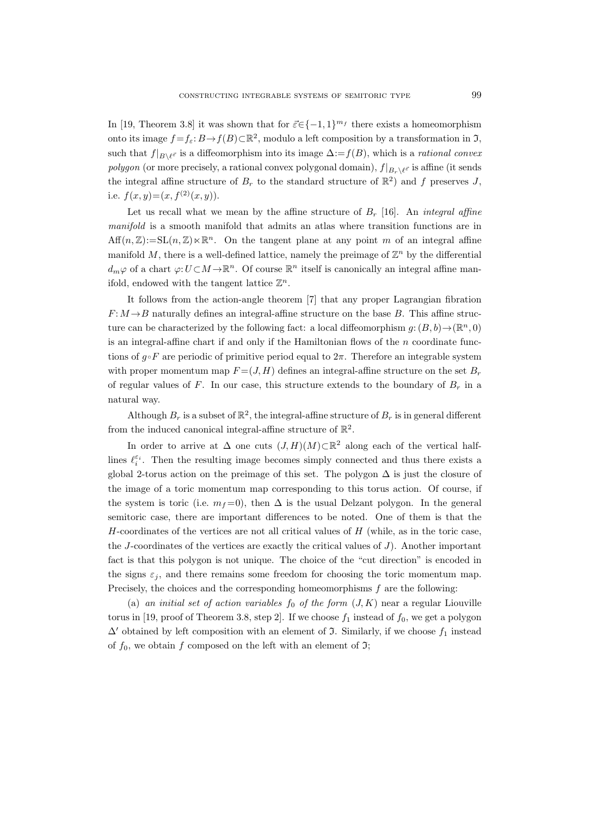In [19, Theorem 3.8] it was shown that for  $\vec{\varepsilon} \in \{-1, 1\}^{m_f}$  there exists a homeomorphism onto its image  $f = f_{\varepsilon}: B \to f(B) \subset \mathbb{R}^2$ , modulo a left composition by a transformation in  $\mathfrak{I}$ , such that  $f|_{B\setminus\ell^{\vec{\varepsilon}}}$  is a diffeomorphism into its image  $\Delta:=f(B)$ , which is a *rational convex* polygon (or more precisely, a rational convex polygonal domain),  $f|_{B_r\setminus\ell^{\vec{\varepsilon}}}$  is affine (it sends the integral affine structure of  $B_r$  to the standard structure of  $\mathbb{R}^2$ ) and f preserves J, i.e.  $f(x, y) = (x, f<sup>(2)</sup>(x, y)).$ 

Let us recall what we mean by the affine structure of  $B_r$  [16]. An *integral affine* manifold is a smooth manifold that admits an atlas where transition functions are in  $Aff(n,\mathbb{Z}) := SL(n,\mathbb{Z}) \ltimes \mathbb{R}^n$ . On the tangent plane at any point m of an integral affine manifold M, there is a well-defined lattice, namely the preimage of  $\mathbb{Z}^n$  by the differential  $d_m\varphi$  of a chart  $\varphi:U\subset M\to\mathbb{R}^n$ . Of course  $\mathbb{R}^n$  itself is canonically an integral affine manifold, endowed with the tangent lattice  $\mathbb{Z}^n$ .

It follows from the action-angle theorem [7] that any proper Lagrangian fibration  $F: M \rightarrow B$  naturally defines an integral-affine structure on the base B. This affine structure can be characterized by the following fact: a local diffeomorphism  $g: (B, b) \to (\mathbb{R}^n, 0)$ is an integral-affine chart if and only if the Hamiltonian flows of the  $n$  coordinate functions of  $g \circ F$  are periodic of primitive period equal to  $2\pi$ . Therefore an integrable system with proper momentum map  $F = (J, H)$  defines an integral-affine structure on the set  $B_r$ of regular values of F. In our case, this structure extends to the boundary of  $B_r$  in a natural way.

Although  $B_r$  is a subset of  $\mathbb{R}^2$ , the integral-affine structure of  $B_r$  is in general different from the induced canonical integral-affine structure of  $\mathbb{R}^2$ .

In order to arrive at  $\Delta$  one cuts  $(J, H)(M) \subset \mathbb{R}^2$  along each of the vertical halflines  $\ell_i^{\varepsilon_i}$ . Then the resulting image becomes simply connected and thus there exists a global 2-torus action on the preimage of this set. The polygon  $\Delta$  is just the closure of the image of a toric momentum map corresponding to this torus action. Of course, if the system is toric (i.e.  $m_f = 0$ ), then  $\Delta$  is the usual Delzant polygon. In the general semitoric case, there are important differences to be noted. One of them is that the  $H$ -coordinates of the vertices are not all critical values of  $H$  (while, as in the toric case, the  $J$ -coordinates of the vertices are exactly the critical values of  $J$ ). Another important fact is that this polygon is not unique. The choice of the "cut direction" is encoded in the signs  $\varepsilon_i$ , and there remains some freedom for choosing the toric momentum map. Precisely, the choices and the corresponding homeomorphisms  $f$  are the following:

(a) an initial set of action variables  $f_0$  of the form  $(J, K)$  near a regular Liouville torus in [19, proof of Theorem 3.8, step 2]. If we choose  $f_1$  instead of  $f_0$ , we get a polygon  $\Delta'$  obtained by left composition with an element of J. Similarly, if we choose  $f_1$  instead of  $f_0$ , we obtain f composed on the left with an element of  $\mathfrak{I};$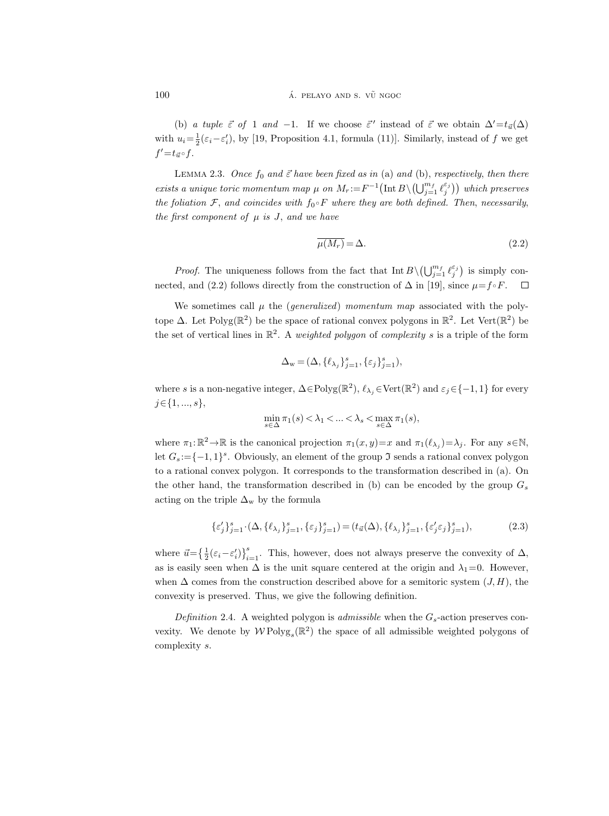(b) a tuple  $\vec{\varepsilon}$  of 1 and -1. If we choose  $\vec{\varepsilon}'$  instead of  $\vec{\varepsilon}$  we obtain  $\Delta' = t_{\vec{u}}(\Delta)$ with  $u_i = \frac{1}{2}(\varepsilon_i - \varepsilon'_i)$ , by [19, Proposition 4.1, formula (11)]. Similarly, instead of f we get  $f' = t_{\vec{u}} \circ f$ .

LEMMA 2.3. Once  $f_0$  and  $\vec{\varepsilon}$  have been fixed as in (a) and (b), respectively, then there exists a unique toric momentum map  $\mu$  on  $M_r := F^{-1}(\text{Int }B \setminus (\bigcup_{j=1}^{m_f} \ell_j^{\varepsilon_j}))$  which preserves the foliation  $\mathcal{F}$ , and coincides with  $f_0 \circ F$  where they are both defined. Then, necessarily, the first component of  $\mu$  is J, and we have

$$
\overline{\mu(M_r)} = \Delta. \tag{2.2}
$$

*Proof.* The uniqueness follows from the fact that  $\text{Int } B \setminus (\bigcup_{j=1}^{m_f} \ell_j^{\varepsilon_j})$  is simply connected, and (2.2) follows directly from the construction of  $\Delta$  in [19], since  $\mu = f \circ F$ .  $\Box$ 

We sometimes call  $\mu$  the (*generalized*) momentum map associated with the polytope  $\Delta$ . Let Polyg( $\mathbb{R}^2$ ) be the space of rational convex polygons in  $\mathbb{R}^2$ . Let Vert( $\mathbb{R}^2$ ) be the set of vertical lines in  $\mathbb{R}^2$ . A weighted polygon of complexity s is a triple of the form

$$
\Delta_{\mathbf{w}} = (\Delta, \{\ell_{\lambda_j}\}_{j=1}^s, \{\varepsilon_j\}_{j=1}^s),
$$

where s is a non-negative integer,  $\Delta \in \text{Polyg}(\mathbb{R}^2)$ ,  $\ell_{\lambda_j} \in \text{Vert}(\mathbb{R}^2)$  and  $\varepsilon_j \in \{-1, 1\}$  for every  $j \in \{1, ..., s\},\$ 

$$
\min_{s \in \Delta} \pi_1(s) < \lambda_1 < \ldots < \lambda_s < \max_{s \in \Delta} \pi_1(s),
$$

where  $\pi_1: \mathbb{R}^2 \to \mathbb{R}$  is the canonical projection  $\pi_1(x, y) = x$  and  $\pi_1(\ell_{\lambda_j}) = \lambda_j$ . For any  $s \in \mathbb{N}$ , let  $G_s := \{-1, 1\}^s$ . Obviously, an element of the group  $\mathfrak I$  sends a rational convex polygon to a rational convex polygon. It corresponds to the transformation described in (a). On the other hand, the transformation described in (b) can be encoded by the group  $G_s$ acting on the triple  $\Delta_{w}$  by the formula

$$
\{\varepsilon'_j\}_{j=1}^s \cdot (\Delta, \{\ell_{\lambda_j}\}_{j=1}^s, \{\varepsilon_j\}_{j=1}^s) = (t_{\vec{u}}(\Delta), \{\ell_{\lambda_j}\}_{j=1}^s, \{\varepsilon'_j \varepsilon_j\}_{j=1}^s),
$$
(2.3)

where  $\vec{u} = \left\{\frac{1}{2}(\varepsilon_i - \varepsilon'_i)\right\}_{i=1}^s$ . This, however, does not always preserve the convexity of  $\Delta$ , as is easily seen when  $\Delta$  is the unit square centered at the origin and  $\lambda_1=0$ . However, when  $\Delta$  comes from the construction described above for a semitoric system  $(J, H)$ , the convexity is preserved. Thus, we give the following definition.

Definition 2.4. A weighted polygon is *admissible* when the  $G_s$ -action preserves convexity. We denote by  $W \text{Polyg}_{s}(\mathbb{R}^{2})$  the space of all admissible weighted polygons of complexity s.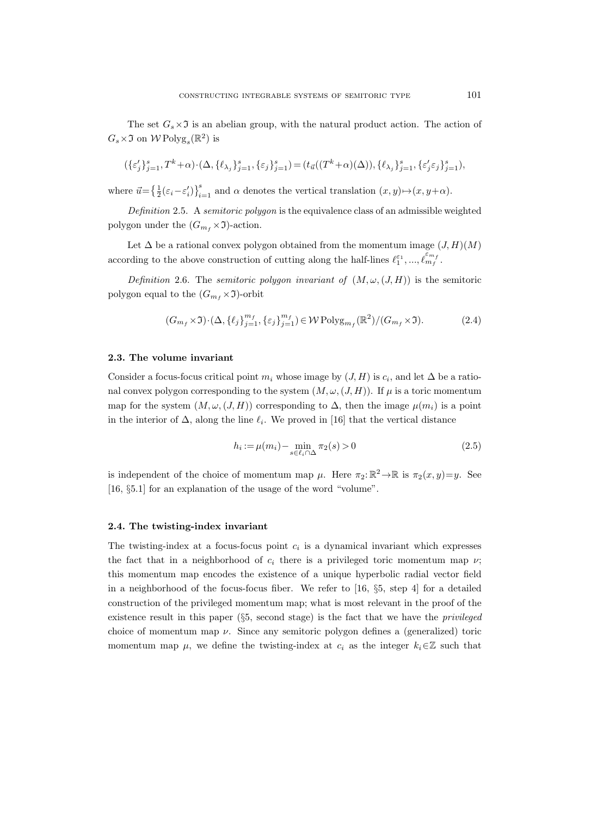The set  $G_s \times \mathfrak{I}$  is an abelian group, with the natural product action. The action of  $G_s \times \mathfrak{I}$  on  $W \text{Polyg}_s(\mathbb{R}^2)$  is

$$
(\{\varepsilon'_j\}_{j=1}^s, T^k + \alpha) \cdot (\Delta, \{\ell_{\lambda_j}\}_{j=1}^s, \{\varepsilon_j\}_{j=1}^s) = (t_{\vec{u}}((T^k + \alpha)(\Delta)), \{\ell_{\lambda_j}\}_{j=1}^s, \{\varepsilon'_j \varepsilon_j\}_{j=1}^s),
$$

where  $\vec{u} = \left\{ \frac{1}{2} (\varepsilon_i - \varepsilon'_i) \right\}_{i=1}^s$  and  $\alpha$  denotes the vertical translation  $(x, y) \mapsto (x, y + \alpha)$ .

Definition 2.5. A semitoric polygon is the equivalence class of an admissible weighted polygon under the  $(G_{m_f} \times \mathfrak{I})$ -action.

Let  $\Delta$  be a rational convex polygon obtained from the momentum image  $(J, H)(M)$ according to the above construction of cutting along the half-lines  $\ell_1^{\varepsilon_1}, ..., \ell_{m_f}^{\varepsilon_{m_f}}$ .

Definition 2.6. The semitoric polygon invariant of  $(M, \omega, (J, H))$  is the semitoric polygon equal to the  $(G_{m_f} \times \mathfrak{I})$ -orbit

$$
(G_{m_f} \times \mathfrak{I}) \cdot (\Delta, \{\ell_j\}_{j=1}^{m_f}, \{\varepsilon_j\}_{j=1}^{m_f}) \in \mathcal{W} \operatorname{Polyg}_{m_f}(\mathbb{R}^2) / (G_{m_f} \times \mathfrak{I}).
$$
 (2.4)

#### 2.3. The volume invariant

Consider a focus-focus critical point  $m_i$  whose image by  $(J, H)$  is  $c_i$ , and let  $\Delta$  be a rational convex polygon corresponding to the system  $(M, \omega, (J, H))$ . If  $\mu$  is a toric momentum map for the system  $(M, \omega, (J, H))$  corresponding to  $\Delta$ , then the image  $\mu(m_i)$  is a point in the interior of  $\Delta$ , along the line  $\ell_i$ . We proved in [16] that the vertical distance

$$
h_i := \mu(m_i) - \min_{s \in \ell_i \cap \Delta} \pi_2(s) > 0 \tag{2.5}
$$

is independent of the choice of momentum map  $\mu$ . Here  $\pi_2: \mathbb{R}^2 \to \mathbb{R}$  is  $\pi_2(x, y)=y$ . See [16, §5.1] for an explanation of the usage of the word "volume".

## 2.4. The twisting-index invariant

The twisting-index at a focus-focus point  $c_i$  is a dynamical invariant which expresses the fact that in a neighborhood of  $c_i$  there is a privileged toric momentum map  $\nu$ ; this momentum map encodes the existence of a unique hyperbolic radial vector field in a neighborhood of the focus-focus fiber. We refer to [16, §5, step 4] for a detailed construction of the privileged momentum map; what is most relevant in the proof of the existence result in this paper  $(\S 5,$  second stage) is the fact that we have the *privileged* choice of momentum map  $\nu$ . Since any semitoric polygon defines a (generalized) toric momentum map  $\mu$ , we define the twisting-index at  $c_i$  as the integer  $k_i \in \mathbb{Z}$  such that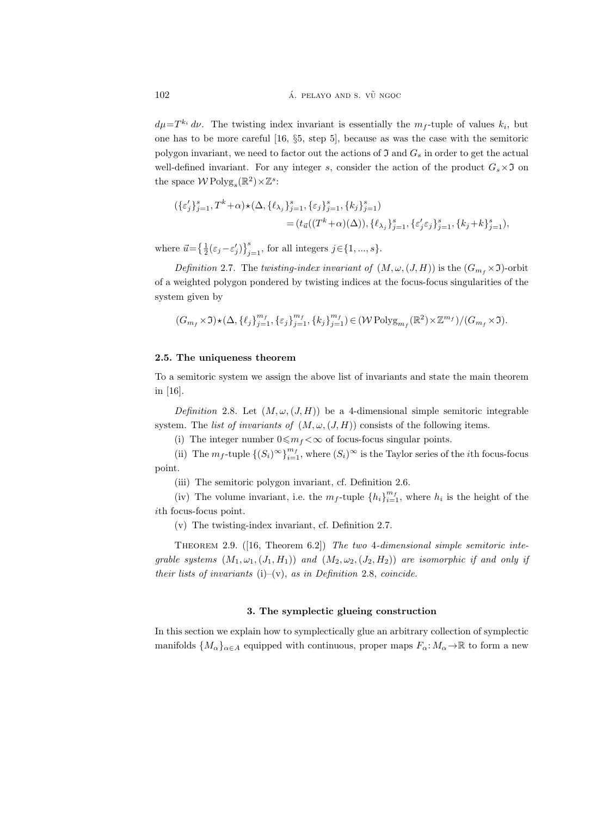$d\mu = T^{k_i} d\nu$ . The twisting index invariant is essentially the  $m_f$ -tuple of values  $k_i$ , but one has to be more careful [16, §5, step 5], because as was the case with the semitoric polygon invariant, we need to factor out the actions of  $\mathfrak I$  and  $G_s$  in order to get the actual well-defined invariant. For any integer s, consider the action of the product  $G_s \times \mathfrak{I}$  on the space  $W \text{Polyg}_{s}(\mathbb{R}^{2}) \times \mathbb{Z}^{s}$ :

$$
\begin{aligned} (\{\varepsilon'_j\}_{j=1}^s, T^k + \alpha) \star (\Delta, \{\ell_{\lambda_j}\}_{j=1}^s, \{\varepsilon_j\}_{j=1}^s, \{k_j\}_{j=1}^s) \\ &= (t_{\vec{u}}((T^k + \alpha)(\Delta)), \{\ell_{\lambda_j}\}_{j=1}^s, \{\varepsilon'_j \varepsilon_j\}_{j=1}^s, \{k_j + k\}_{j=1}^s), \end{aligned}
$$

where  $\vec{u} = \left\{ \frac{1}{2} (\varepsilon_j - \varepsilon'_j) \right\}_{j=1}^s$ , for all integers  $j \in \{1, ..., s\}$ .

Definition 2.7. The twisting-index invariant of  $(M, \omega, (J, H))$  is the  $(G_{m_f} \times \mathfrak{I})$ -orbit of a weighted polygon pondered by twisting indices at the focus-focus singularities of the system given by

$$
(G_{m_f} \times \mathfrak{I}) \star (\Delta, \{\ell_j\}_{j=1}^{m_f}, \{\varepsilon_j\}_{j=1}^{m_f}, \{k_j\}_{j=1}^{m_f}) \in (\mathcal{W} \operatorname{Polyg}_{m_f}(\mathbb{R}^2) \times \mathbb{Z}^{m_f})/(G_{m_f} \times \mathfrak{I}).
$$

# 2.5. The uniqueness theorem

To a semitoric system we assign the above list of invariants and state the main theorem in [16].

Definition 2.8. Let  $(M, \omega, (J, H))$  be a 4-dimensional simple semitoric integrable system. The list of invariants of  $(M, \omega, (J, H))$  consists of the following items.

(i) The integer number  $0 \le m_f < \infty$  of focus-focus singular points.

(ii) The  $m_f$ -tuple  $\{(S_i)^\infty\}_{i=1}^{m_f}$ , where  $(S_i)^\infty$  is the Taylor series of the *i*th focus-focus point.

(iii) The semitoric polygon invariant, cf. Definition 2.6.

(iv) The volume invariant, i.e. the  $m_f$ -tuple  $\{h_i\}_{i=1}^{m_f}$ , where  $h_i$  is the height of the ith focus-focus point.

(v) The twisting-index invariant, cf. Definition 2.7.

THEOREM 2.9.  $([16, Theorem 6.2])$  The two 4-dimensional simple semitoric integrable systems  $(M_1, \omega_1, (J_1, H_1))$  and  $(M_2, \omega_2, (J_2, H_2))$  are isomorphic if and only if their lists of invariants (i)–(v), as in Definition 2.8, coincide.

## 3. The symplectic glueing construction

In this section we explain how to symplectically glue an arbitrary collection of symplectic manifolds  $\{M_{\alpha}\}_{{\alpha}\in A}$  equipped with continuous, proper maps  $F_{\alpha}: M_{\alpha}\to\mathbb{R}$  to form a new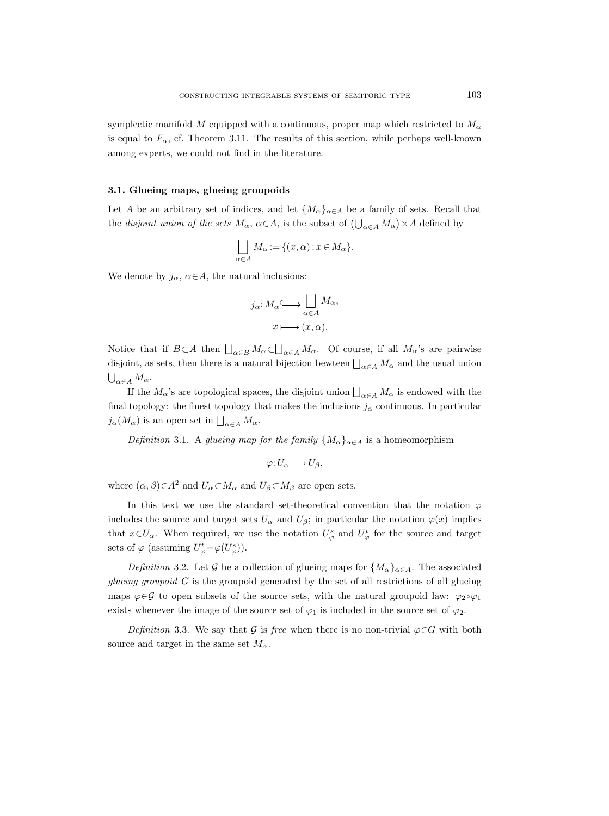symplectic manifold M equipped with a continuous, proper map which restricted to  $M_{\alpha}$ is equal to  $F_{\alpha}$ , cf. Theorem 3.11. The results of this section, while perhaps well-known among experts, we could not find in the literature.

# 3.1. Glueing maps, glueing groupoids

Let A be an arbitrary set of indices, and let  $\{M_{\alpha}\}_{{\alpha\in A}}$  be a family of sets. Recall that the *disjoint union of the sets*  $M_{\alpha}$ ,  $\alpha \in A$ , is the subset of  $\left(\bigcup_{\alpha \in A} M_{\alpha}\right) \times A$  defined by

$$
\bigsqcup_{\alpha \in A} M_{\alpha} := \{ (x, \alpha) : x \in M_{\alpha} \}.
$$

We denote by  $j_{\alpha}$ ,  $\alpha \in A$ , the natural inclusions:

$$
j_{\alpha}: M_{\alpha} \longrightarrow \bigsqcup_{\alpha \in A} M_{\alpha},
$$

$$
x \longmapsto (x, \alpha).
$$

Notice that if  $B \subset A$  then  $\bigsqcup_{\alpha \in B} M_{\alpha} \subset \bigsqcup_{\alpha \in A} M_{\alpha}$ . Of course, if all  $M_{\alpha}$ 's are pairwise disjoint, as sets, then there is a natural bijection bewteen  $\bigsqcup_{\alpha \in A} M_{\alpha}$  and the usual union  $\bigcup_{\alpha\in A}M_\alpha.$ 

If the  $M_{\alpha}$ 's are topological spaces, the disjoint union  $\bigsqcup_{\alpha \in A} M_{\alpha}$  is endowed with the final topology: the finest topology that makes the inclusions  $j_{\alpha}$  continuous. In particular  $j_{\alpha}(M_{\alpha})$  is an open set in  $\bigsqcup_{\alpha \in A} M_{\alpha}$ .

Definition 3.1. A glueing map for the family  $\{M_{\alpha}\}_{{\alpha}\in A}$  is a homeomorphism

$$
\varphi: U_{\alpha} \longrightarrow U_{\beta},
$$

where  $(\alpha, \beta) \in A^2$  and  $U_{\alpha} \subset M_{\alpha}$  and  $U_{\beta} \subset M_{\beta}$  are open sets.

In this text we use the standard set-theoretical convention that the notation  $\varphi$ includes the source and target sets  $U_{\alpha}$  and  $U_{\beta}$ ; in particular the notation  $\varphi(x)$  implies that  $x \in U_\alpha$ . When required, we use the notation  $U^s_\varphi$  and  $U^t_\varphi$  for the source and target sets of  $\varphi$  (assuming  $U_{\varphi}^t = \varphi(U_{\varphi}^s)$ ).

Definition 3.2. Let G be a collection of glueing maps for  $\{M_{\alpha}\}_{{\alpha}\in A}$ . The associated qlueing groupoid  $G$  is the groupoid generated by the set of all restrictions of all glueing maps  $\varphi \in \mathcal{G}$  to open subsets of the source sets, with the natural groupoid law:  $\varphi_2 \circ \varphi_1$ exists whenever the image of the source set of  $\varphi_1$  is included in the source set of  $\varphi_2$ .

Definition 3.3. We say that G is free when there is no non-trivial  $\varphi \in G$  with both source and target in the same set  $M_{\alpha}$ .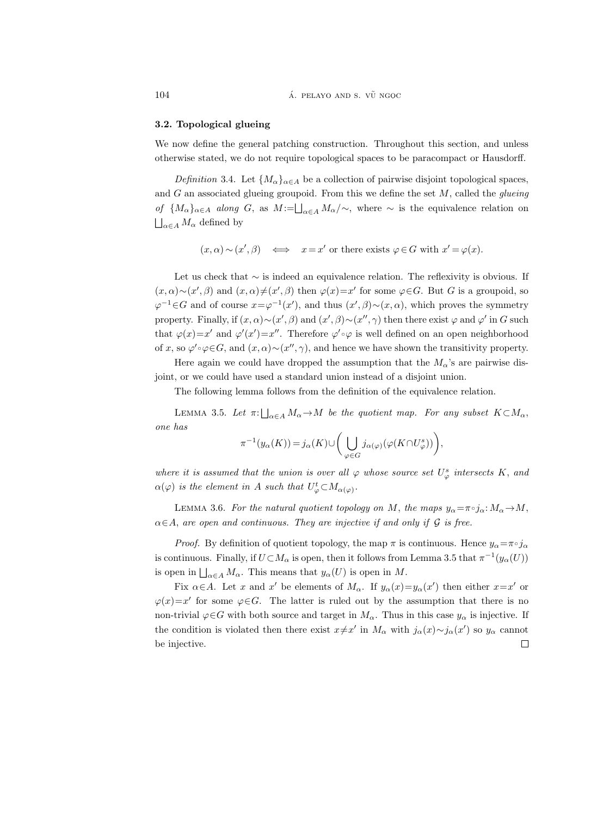#### 3.2. Topological glueing

We now define the general patching construction. Throughout this section, and unless otherwise stated, we do not require topological spaces to be paracompact or Hausdorff.

Definition 3.4. Let  $\{M_{\alpha}\}_{{\alpha}\in A}$  be a collection of pairwise disjoint topological spaces, and  $G$  an associated glueing groupoid. From this we define the set  $M$ , called the *glueing* of  ${M_\alpha}_{\alpha\in A}$  along G, as  $M:=\bigsqcup_{\alpha\in A}M_\alpha/\sim$ , where  $\sim$  is the equivalence relation on  $\bigsqcup_{\alpha \in A} M_{\alpha}$  defined by

$$
(x, \alpha) \sim (x', \beta) \iff x = x'
$$
 or there exists  $\varphi \in G$  with  $x' = \varphi(x)$ .

Let us check that ∼ is indeed an equivalence relation. The reflexivity is obvious. If  $(x, \alpha) \sim (x', \beta)$  and  $(x, \alpha) \neq (x', \beta)$  then  $\varphi(x) = x'$  for some  $\varphi \in G$ . But G is a groupoid, so  $\varphi^{-1}$ ∈G and of course  $x = \varphi^{-1}(x')$ , and thus  $(x', \beta) \sim (x, \alpha)$ , which proves the symmetry property. Finally, if  $(x, \alpha) \sim (x', \beta)$  and  $(x', \beta) \sim (x'', \gamma)$  then there exist  $\varphi$  and  $\varphi'$  in G such that  $\varphi(x)=x'$  and  $\varphi'(x')=x''$ . Therefore  $\varphi'\circ\varphi$  is well defined on an open neighborhood of x, so  $\varphi' \circ \varphi \in G$ , and  $(x, \alpha) \sim (x'', \gamma)$ , and hence we have shown the transitivity property.

Here again we could have dropped the assumption that the  $M_{\alpha}$ 's are pairwise disjoint, or we could have used a standard union instead of a disjoint union.

The following lemma follows from the definition of the equivalence relation.

LEMMA 3.5. Let  $\pi: \bigsqcup_{\alpha \in A} M_{\alpha} \to M$  be the quotient map. For any subset  $K \subset M_{\alpha}$ , one has

$$
\pi^{-1}(y_{\alpha}(K)) = j_{\alpha}(K) \cup \left( \bigcup_{\varphi \in G} j_{\alpha(\varphi)}(\varphi(K \cap U_{\varphi}^s)) \right),
$$

where it is assumed that the union is over all  $\varphi$  whose source set  $U_{\varphi}^s$  intersects K, and  $\alpha(\varphi)$  is the element in A such that  $U_{\varphi}^t \subset M_{\alpha(\varphi)}$ .

LEMMA 3.6. For the natural quotient topology on M, the maps  $y_{\alpha} = \pi \circ j_{\alpha} : M_{\alpha} \to M$ ,  $\alpha \in A$ , are open and continuous. They are injective if and only if G is free.

*Proof.* By definition of quotient topology, the map  $\pi$  is continuous. Hence  $y_{\alpha} = \pi \circ j_{\alpha}$ is continuous. Finally, if  $U \subset M_\alpha$  is open, then it follows from Lemma 3.5 that  $\pi^{-1}(y_\alpha(U))$ is open in  $\bigsqcup_{\alpha \in A} M_{\alpha}$ . This means that  $y_{\alpha}(U)$  is open in M.

Fix  $\alpha \in A$ . Let x and x' be elements of  $M_{\alpha}$ . If  $y_{\alpha}(x)=y_{\alpha}(x')$  then either  $x=x'$  or  $\varphi(x)=x'$  for some  $\varphi \in G$ . The latter is ruled out by the assumption that there is no non-trivial  $\varphi \in G$  with both source and target in  $M_\alpha$ . Thus in this case  $y_\alpha$  is injective. If the condition is violated then there exist  $x \neq x'$  in  $M_\alpha$  with  $j_\alpha(x) \sim j_\alpha(x')$  so  $y_\alpha$  cannot be injective. $\Box$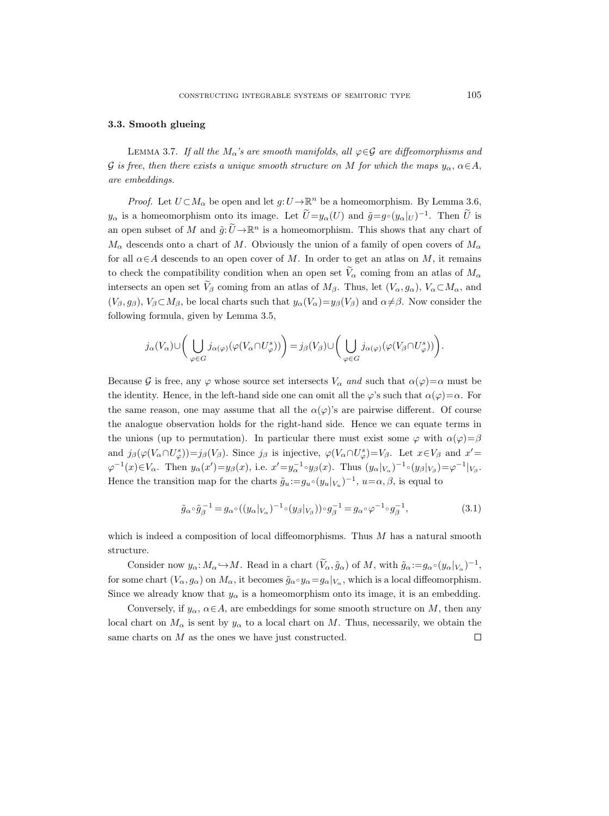#### 3.3. Smooth glueing

LEMMA 3.7. If all the  $M_{\alpha}$ 's are smooth manifolds, all  $\varphi \in \mathcal{G}$  are diffeomorphisms and G is free, then there exists a unique smooth structure on M for which the maps  $y_\alpha$ ,  $\alpha \in A$ , are embeddings.

*Proof.* Let  $U \subset M_\alpha$  be open and let  $g: U \to \mathbb{R}^n$  be a homeomorphism. By Lemma 3.6,  $y_{\alpha}$  is a homeomorphism onto its image. Let  $\tilde{U}=y_{\alpha}(U)$  and  $\tilde{g}=g\circ(y_{\alpha}|_U)^{-1}$ . Then  $\tilde{U}$  is an open subset of M and  $\tilde{g}: \tilde{U} \to \mathbb{R}^n$  is a homeomorphism. This shows that any chart of  $M_{\alpha}$  descends onto a chart of M. Obviously the union of a family of open covers of  $M_{\alpha}$ for all  $\alpha \in A$  descends to an open cover of M. In order to get an atlas on M, it remains to check the compatibility condition when an open set  $V_\alpha$  coming from an atlas of  $M_\alpha$ intersects an open set  $V_\beta$  coming from an atlas of  $M_\beta$ . Thus, let  $(V_\alpha, g_\alpha)$ ,  $V_\alpha \subset M_\alpha$ , and  $(V_\beta, g_\beta)$ ,  $V_\beta \subset M_\beta$ , be local charts such that  $y_\alpha(V_\alpha) = y_\beta(V_\beta)$  and  $\alpha \neq \beta$ . Now consider the following formula, given by Lemma 3.5,

$$
j_{\alpha}(V_{\alpha}) \cup \left(\bigcup_{\varphi \in G} j_{\alpha(\varphi)}(\varphi(V_{\alpha} \cap U_{\varphi}^{s}))\right) = j_{\beta}(V_{\beta}) \cup \left(\bigcup_{\varphi \in G} j_{\alpha(\varphi)}(\varphi(V_{\beta} \cap U_{\varphi}^{s}))\right).
$$

Because G is free, any  $\varphi$  whose source set intersects  $V_\alpha$  and such that  $\alpha(\varphi) = \alpha$  must be the identity. Hence, in the left-hand side one can omit all the  $\varphi$ 's such that  $\alpha(\varphi)=\alpha$ . For the same reason, one may assume that all the  $\alpha(\varphi)$ 's are pairwise different. Of course the analogue observation holds for the right-hand side. Hence we can equate terms in the unions (up to permutation). In particular there must exist some  $\varphi$  with  $\alpha(\varphi) = \beta$ and  $j_{\beta}(\varphi(V_{\alpha} \cap U_{\varphi}^{s})) = j_{\beta}(V_{\beta})$ . Since  $j_{\beta}$  is injective,  $\varphi(V_{\alpha} \cap U_{\varphi}^{s}) = V_{\beta}$ . Let  $x \in V_{\beta}$  and  $x' =$  $\varphi^{-1}(x) \in V_\alpha$ . Then  $y_\alpha(x') = y_\beta(x)$ , i.e.  $x' = y_\alpha^{-1} \circ y_\beta(x)$ . Thus  $(y_\alpha|_{V_\alpha})^{-1} \circ (y_\beta|_{V_\beta}) = \varphi^{-1}|_{V_\beta}$ . Hence the transition map for the charts  $\tilde{g}_u = g_u \circ (y_u|_{V_u})^{-1}$ ,  $u = \alpha, \beta$ , is equal to

$$
\tilde{g}_{\alpha} \circ \tilde{g}_{\beta}^{-1} = g_{\alpha} \circ ((y_{\alpha}|_{V_{\alpha}})^{-1} \circ (y_{\beta}|_{V_{\beta}})) \circ g_{\beta}^{-1} = g_{\alpha} \circ \varphi^{-1} \circ g_{\beta}^{-1},\tag{3.1}
$$

which is indeed a composition of local diffeomorphisms. Thus  $M$  has a natural smooth structure.

Consider now  $y_{\alpha}: M_{\alpha} \hookrightarrow M$ . Read in a chart  $(\widetilde{V}_{\alpha}, \widetilde{g}_{\alpha})$  of M, with  $\widetilde{g}_{\alpha} := g_{\alpha} \circ (y_{\alpha}|_{V_{\alpha}})^{-1}$ , for some chart  $(V_{\alpha}, g_{\alpha})$  on  $M_{\alpha}$ , it becomes  $\tilde{g}_{\alpha} \circ y_{\alpha} = g_{\alpha}|_{V_{\alpha}}$ , which is a local diffeomorphism. Since we already know that  $y_{\alpha}$  is a homeomorphism onto its image, it is an embedding.

Conversely, if  $y_\alpha$ ,  $\alpha \in A$ , are embeddings for some smooth structure on M, then any local chart on  $M_{\alpha}$  is sent by  $y_{\alpha}$  to a local chart on M. Thus, necessarily, we obtain the same charts on  $M$  as the ones we have just constructed.  $\Box$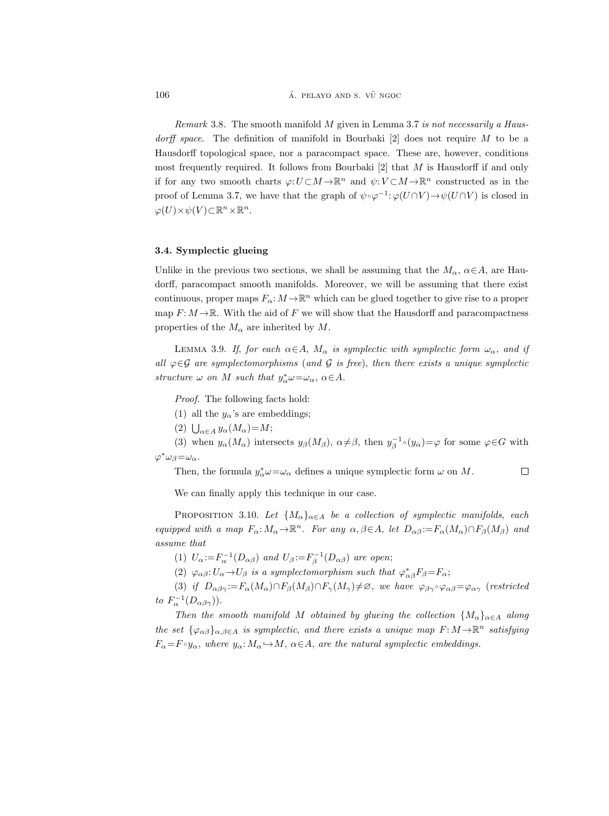$106$   $\qquad \qquad$   $\qquad$   $\qquad$   $\qquad$   $\qquad$   $\qquad$   $\qquad$   $\qquad$   $\qquad$   $\qquad$   $\qquad$   $\qquad$   $\qquad$   $\qquad$   $\qquad$   $\qquad$   $\qquad$   $\qquad$   $\qquad$   $\qquad$   $\qquad$   $\qquad$   $\qquad$   $\qquad$   $\qquad$   $\qquad$   $\qquad$   $\qquad$   $\qquad$   $\qquad$   $\qquad$   $\qquad$   $\qquad$   $\qquad$   $\qquad$   $\$ 

*Remark* 3.8. The smooth manifold  $M$  given in Lemma 3.7 is not necessarily a Hausdorff space. The definition of manifold in Bourbaki  $[2]$  does not require M to be a Hausdorff topological space, nor a paracompact space. These are, however, conditions most frequently required. It follows from Bourbaki  $[2]$  that M is Hausdorff if and only if for any two smooth charts  $\varphi: U \subset M \to \mathbb{R}^n$  and  $\psi: V \subset M \to \mathbb{R}^n$  constructed as in the proof of Lemma 3.7, we have that the graph of  $\psi \circ \varphi^{-1} : \varphi(U \cap V) \to \psi(U \cap V)$  is closed in  $\varphi(U)\times\psi(V)\subset\mathbb{R}^n\times\mathbb{R}^n$ .

# 3.4. Symplectic glueing

Unlike in the previous two sections, we shall be assuming that the  $M_{\alpha}$ ,  $\alpha \in A$ , are Haudorff, paracompact smooth manifolds. Moreover, we will be assuming that there exist continuous, proper maps  $F_{\alpha}: M \to \mathbb{R}^n$  which can be glued together to give rise to a proper map  $F: M \to \mathbb{R}$ . With the aid of F we will show that the Hausdorff and paracompactness properties of the  $M_{\alpha}$  are inherited by M.

LEMMA 3.9. If, for each  $\alpha \in A$ ,  $M_{\alpha}$  is symplectic with symplectic form  $\omega_{\alpha}$ , and if all  $\varphi \in \mathcal{G}$  are symplectomorphisms (and  $\mathcal{G}$  is free), then there exists a unique symplectic structure  $\omega$  on M such that  $y^*_{\alpha} \omega = \omega_{\alpha}, \ \alpha \in A$ .

Proof. The following facts hold:

- (1) all the  $y_{\alpha}$ 's are embeddings;
- (2)  $\bigcup_{\alpha \in A} y_{\alpha}(M_{\alpha}) = M;$

(3) when  $y_{\alpha}(M_{\alpha})$  intersects  $y_{\beta}(M_{\beta}), \alpha \neq \beta$ , then  $y_{\beta}^{-1}(y_{\alpha}) = \varphi$  for some  $\varphi \in G$  with  $\varphi^* \omega_\beta = \omega_\alpha$ .

Then, the formula  $y^*_{\alpha} \omega = \omega_{\alpha}$  defines a unique symplectic form  $\omega$  on M.  $\Box$ 

We can finally apply this technique in our case.

PROPOSITION 3.10. Let  $\{M_{\alpha}\}_{{\alpha}\in A}$  be a collection of symplectic manifolds, each equipped with a map  $F_{\alpha}: M_{\alpha} \to \mathbb{R}^n$ . For any  $\alpha, \beta \in A$ , let  $D_{\alpha\beta} := F_{\alpha}(M_{\alpha}) \cap F_{\beta}(M_{\beta})$  and assume that

(1)  $U_{\alpha} := F_{\alpha}^{-1}(D_{\alpha\beta})$  and  $U_{\beta} := F_{\beta}^{-1}(D_{\alpha\beta})$  are open;

(2)  $\varphi_{\alpha\beta}: U_{\alpha} \to U_{\beta}$  is a symplectomorphism such that  $\varphi_{\alpha\beta}^{*}F_{\beta} = F_{\alpha}$ ;

(3) if  $D_{\alpha\beta\gamma} := F_{\alpha}(M_{\alpha}) \cap F_{\beta}(M_{\beta}) \cap F_{\gamma}(M_{\gamma}) \neq \emptyset$ , we have  $\varphi_{\beta\gamma} \circ \varphi_{\alpha\beta} = \varphi_{\alpha\gamma}$  (restricted to  $F_{\alpha}^{-1}(D_{\alpha\beta\gamma})$ ).

Then the smooth manifold M obtained by glueing the collection  $\{M_{\alpha}\}_{{\alpha}\in A}$  along the set  $\{\varphi_{\alpha\beta}\}_{\alpha,\beta\in A}$  is symplectic, and there exists a unique map  $F: M \to \mathbb{R}^n$  satisfying  $F_{\alpha} = F \circ y_{\alpha}$ , where  $y_{\alpha} : M_{\alpha} \hookrightarrow M$ ,  $\alpha \in A$ , are the natural symplectic embeddings.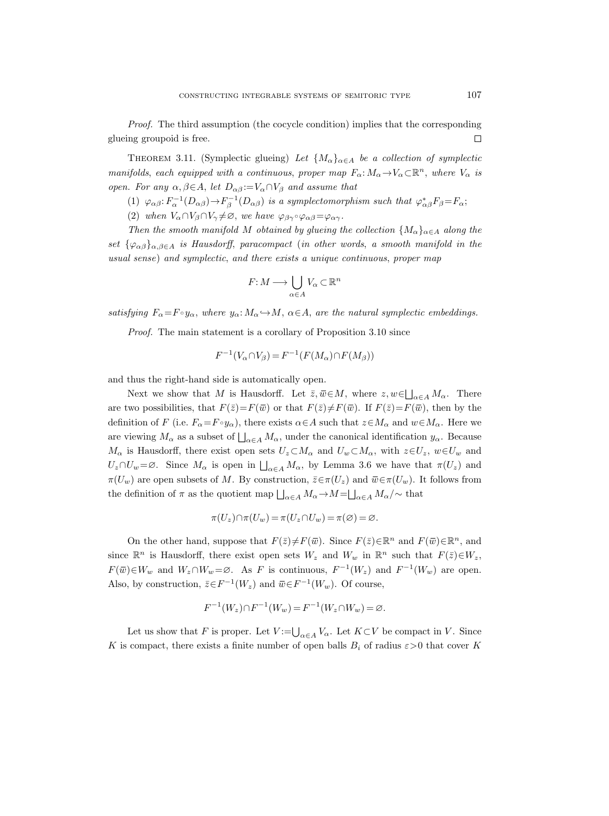Proof. The third assumption (the cocycle condition) implies that the corresponding  $\Box$ glueing groupoid is free.

THEOREM 3.11. (Symplectic glueing) Let  $\{M_{\alpha}\}_{{\alpha}\in A}$  be a collection of symplectic manifolds, each equipped with a continuous, proper map  $F_{\alpha}: M_{\alpha} \to V_{\alpha} \subset \mathbb{R}^n$ , where  $V_{\alpha}$  is open. For any  $\alpha, \beta \in A$ , let  $D_{\alpha\beta} := V_{\alpha} \cap V_{\beta}$  and assume that

- (1)  $\varphi_{\alpha\beta} : F_{\alpha}^{-1}(D_{\alpha\beta}) \to F_{\beta}^{-1}(D_{\alpha\beta})$  is a symplectomorphism such that  $\varphi_{\alpha\beta}^* F_{\beta} = F_{\alpha}$ ;
- (2) when  $V_{\alpha} \cap V_{\beta} \cap V_{\gamma} \neq \emptyset$ , we have  $\varphi_{\beta\gamma} \circ \varphi_{\alpha\beta} = \varphi_{\alpha\gamma}$ .

Then the smooth manifold M obtained by glueing the collection  $\{M_{\alpha}\}_{{\alpha}\in A}$  along the set  $\{\varphi_{\alpha\beta}\}_{{\alpha,\beta\in A}}$  is Hausdorff, paracompact (in other words, a smooth manifold in the usual sense) and symplectic, and there exists a unique continuous, proper map

$$
F\colon\! M \longrightarrow \bigcup_{\alpha \in A} V_\alpha \subset \mathbb{R}^n
$$

satisfying  $F_{\alpha} = F \circ y_{\alpha}$ , where  $y_{\alpha}: M_{\alpha} \to M$ ,  $\alpha \in A$ , are the natural symplectic embeddings.

Proof. The main statement is a corollary of Proposition 3.10 since

$$
F^{-1}(V_{\alpha} \cap V_{\beta}) = F^{-1}(F(M_{\alpha}) \cap F(M_{\beta}))
$$

and thus the right-hand side is automatically open.

Next we show that M is Hausdorff. Let  $\bar{z}, \bar{w} \in M$ , where  $z, w \in \bigsqcup_{\alpha \in A} M_{\alpha}$ . There are two possibilities, that  $F(\bar{z})=F(\bar{w})$  or that  $F(\bar{z})\neq F(\bar{w})$ . If  $F(\bar{z})=F(\bar{w})$ , then by the definition of F (i.e.  $F_{\alpha} = F \circ y_{\alpha}$ ), there exists  $\alpha \in A$  such that  $z \in M_{\alpha}$  and  $w \in M_{\alpha}$ . Here we are viewing  $M_{\alpha}$  as a subset of  $\bigsqcup_{\alpha \in A} M_{\alpha}$ , under the canonical identification  $y_{\alpha}$ . Because  $M_{\alpha}$  is Hausdorff, there exist open sets  $U_z \subset M_{\alpha}$  and  $U_w \subset M_{\alpha}$ , with  $z \in U_z$ ,  $w \in U_w$  and  $U_z \cap U_w = \varnothing$ . Since  $M_\alpha$  is open in  $\bigsqcup_{\alpha \in A} M_\alpha$ , by Lemma 3.6 we have that  $\pi(U_z)$  and  $\pi(U_w)$  are open subsets of M. By construction,  $\bar{z} \in \pi(U_z)$  and  $\bar{w} \in \pi(U_w)$ . It follows from the definition of  $\pi$  as the quotient map  $\bigsqcup_{\alpha \in A} M_{\alpha} \rightarrow M = \bigsqcup_{\alpha \in A} M_{\alpha}/\sim$  that

$$
\pi(U_z) \cap \pi(U_w) = \pi(U_z \cap U_w) = \pi(\varnothing) = \varnothing.
$$

On the other hand, suppose that  $F(\bar{z}) \neq F(\bar{w})$ . Since  $F(\bar{z}) \in \mathbb{R}^n$  and  $F(\bar{w}) \in \mathbb{R}^n$ , and since  $\mathbb{R}^n$  is Hausdorff, there exist open sets  $W_z$  and  $W_w$  in  $\mathbb{R}^n$  such that  $F(\bar{z}) \in W_z$ ,  $F(\overline{w}) \in W_w$  and  $W_z \cap W_w = \emptyset$ . As F is continuous,  $F^{-1}(W_z)$  and  $F^{-1}(W_w)$  are open. Also, by construction,  $\bar{z} \in F^{-1}(W_z)$  and  $\bar{w} \in F^{-1}(W_w)$ . Of course,

$$
F^{-1}(W_z) \cap F^{-1}(W_w) = F^{-1}(W_z \cap W_w) = \emptyset.
$$

Let us show that F is proper. Let  $V := \bigcup_{\alpha \in A} V_{\alpha}$ . Let  $K \subset V$  be compact in V. Since K is compact, there exists a finite number of open balls  $B_i$  of radius  $\varepsilon > 0$  that cover K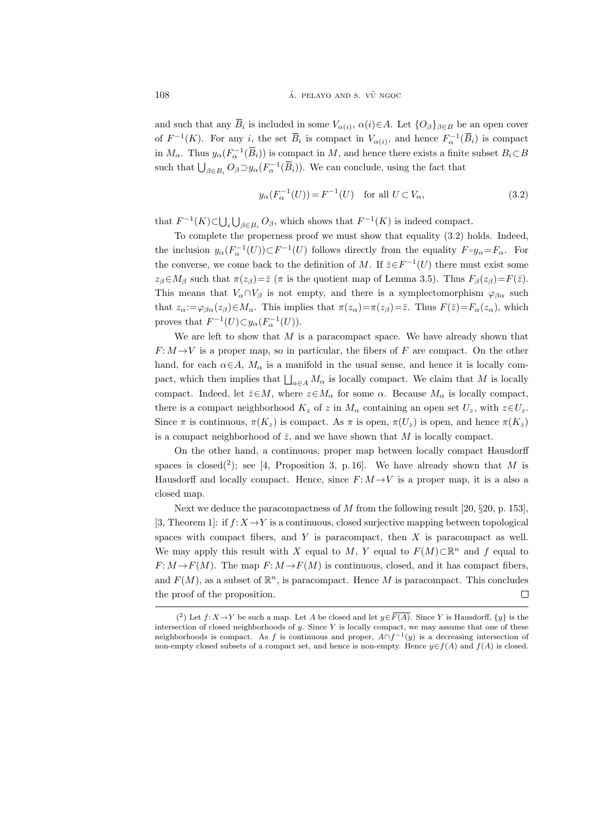and such that any  $\overline{B}_i$  is included in some  $V_{\alpha(i)}$ ,  $\alpha(i) \in A$ . Let  $\{O_\beta\}_{\beta \in B}$  be an open cover of  $F^{-1}(K)$ . For any i, the set  $\overline{B}_i$  is compact in  $V_{\alpha(i)}$ , and hence  $F_{\alpha}^{-1}(\overline{B}_i)$  is compact in  $M_{\alpha}$ . Thus  $y_{\alpha}(F_{\alpha}^{-1}(\overline{B}_i))$  is compact in M, and hence there exists a finite subset  $B_i \subset B$ such that  $\bigcup_{\beta \in B_i} O_\beta \supset y_\alpha(F_\alpha^{-1}(\overline{B}_i))$ . We can conclude, using the fact that

$$
y_{\alpha}(F_{\alpha}^{-1}(U)) = F^{-1}(U) \quad \text{for all } U \subset V_{\alpha}, \tag{3.2}
$$

that  $F^{-1}(K) \subset \bigcup_i \bigcup_{\beta \in B_i} O_{\beta}$ , which shows that  $F^{-1}(K)$  is indeed compact.

To complete the properness proof we must show that equality (3.2) holds. Indeed, the inclusion  $y_\alpha(F_\alpha^{-1}(U))\subset F^{-1}(U)$  follows directly from the equality  $F\circ y_\alpha = F_\alpha$ . For the converse, we come back to the definition of M. If  $\bar{z} \in F^{-1}(U)$  there must exist some  $z_\beta \in M_\beta$  such that  $\pi(z_\beta) = \overline{z}$  ( $\pi$  is the quotient map of Lemma 3.5). Thus  $F_\beta(z_\beta) = F(\overline{z})$ . This means that  $V_\alpha \cap V_\beta$  is not empty, and there is a symplectomorphism  $\varphi_{\beta\alpha}$  such that  $z_\alpha := \varphi_{\beta\alpha}(z_\beta) \in M_\alpha$ . This implies that  $\pi(z_\alpha) = \pi(z_\beta) = \overline{z}$ . Thus  $F(\overline{z}) = F_\alpha(z_\alpha)$ , which proves that  $F^{-1}(U) \subset y_\alpha(F_\alpha^{-1}(U)).$ 

We are left to show that  $M$  is a paracompact space. We have already shown that  $F: M \rightarrow V$  is a proper map, so in particular, the fibers of F are compact. On the other hand, for each  $\alpha \in A$ ,  $M_{\alpha}$  is a manifold in the usual sense, and hence it is locally compact, which then implies that  $\bigsqcup_{\alpha \in A} M_{\alpha}$  is locally compact. We claim that M is locally compact. Indeed, let  $\bar{z} \in M$ , where  $z \in M_\alpha$  for some  $\alpha$ . Because  $M_\alpha$  is locally compact, there is a compact neighborhood  $K_z$  of z in  $M_\alpha$  containing an open set  $U_z$ , with  $z \in U_z$ . Since  $\pi$  is continuous,  $\pi(K_z)$  is compact. As  $\pi$  is open,  $\pi(U_z)$  is open, and hence  $\pi(K_z)$ is a compact neighborhood of  $\bar{z}$ , and we have shown that M is locally compact.

On the other hand, a continuous, proper map between locally compact Hausdorff spaces is closed(2); see [4, Proposition 3, p. 16]. We have already shown that M is Hausdorff and locally compact. Hence, since  $F: M \rightarrow V$  is a proper map, it is a also a closed map.

Next we deduce the paracompactness of M from the following result [20,  $\S 20$ , p. 153], [3, Theorem 1]: if  $f: X \to Y$  is a continuous, closed surjective mapping between topological spaces with compact fibers, and  $Y$  is paracompact, then  $X$  is paracompact as well. We may apply this result with X equal to M, Y equal to  $F(M) \subset \mathbb{R}^n$  and f equal to  $F: M \to F(M)$ . The map  $F: M \to F(M)$  is continuous, closed, and it has compact fibers, and  $F(M)$ , as a subset of  $\mathbb{R}^n$ , is paracompact. Hence M is paracompact. This concludes the proof of the proposition.  $\Box$ 

<sup>(&</sup>lt;sup>2</sup>) Let  $f: X \to Y$  be such a map. Let A be closed and let  $y \in \overline{F(A)}$ . Since Y is Hausdorff,  $\{y\}$  is the intersection of closed neighborhoods of  $y$ . Since  $Y$  is locally compact, we may assume that one of these neighborhoods is compact. As f is continuous and proper,  $A \cap f^{-1}(y)$  is a decreasing intersection of non-empty closed subsets of a compact set, and hence is non-empty. Hence  $y \in f(A)$  and  $f(A)$  is closed.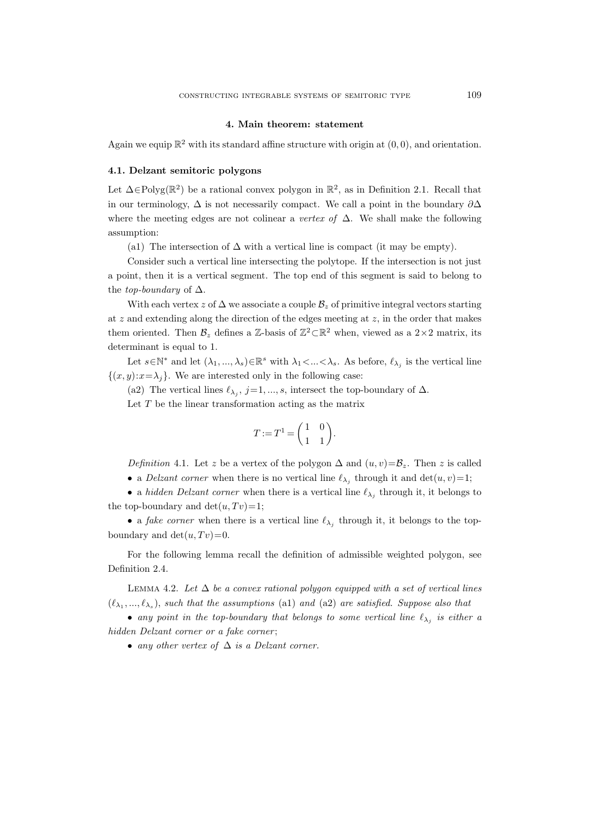#### 4. Main theorem: statement

Again we equip  $\mathbb{R}^2$  with its standard affine structure with origin at  $(0,0)$ , and orientation.

# 4.1. Delzant semitoric polygons

Let  $\Delta \in \text{Polyg}(\mathbb{R}^2)$  be a rational convex polygon in  $\mathbb{R}^2$ , as in Definition 2.1. Recall that in our terminology,  $\Delta$  is not necessarily compact. We call a point in the boundary  $\partial \Delta$ where the meeting edges are not colinear a vertex of  $\Delta$ . We shall make the following assumption:

(a1) The intersection of  $\Delta$  with a vertical line is compact (it may be empty).

Consider such a vertical line intersecting the polytope. If the intersection is not just a point, then it is a vertical segment. The top end of this segment is said to belong to the *top-boundary* of  $\Delta$ .

With each vertex z of  $\Delta$  we associate a couple  $\mathcal{B}_z$  of primitive integral vectors starting at  $z$  and extending along the direction of the edges meeting at  $z$ , in the order that makes them oriented. Then  $\mathcal{B}_z$  defines a Z-basis of  $\mathbb{Z}^2 \subset \mathbb{R}^2$  when, viewed as a  $2 \times 2$  matrix, its determinant is equal to 1.

Let  $s \in \mathbb{N}^*$  and let  $(\lambda_1, ..., \lambda_s) \in \mathbb{R}^s$  with  $\lambda_1 < ... < \lambda_s$ . As before,  $\ell_{\lambda_j}$  is the vertical line  $\{(x, y): x = \lambda_j\}.$  We are interested only in the following case:

(a2) The vertical lines  $\ell_{\lambda_j}$ ,  $j=1,\ldots,s$ , intersect the top-boundary of  $\Delta$ .

Let  $T$  be the linear transformation acting as the matrix

$$
T := T^1 = \begin{pmatrix} 1 & 0 \\ 1 & 1 \end{pmatrix}.
$$

Definition 4.1. Let z be a vertex of the polygon  $\Delta$  and  $(u, v) = \mathcal{B}_z$ . Then z is called

• a *Delzant corner* when there is no vertical line  $\ell_{\lambda_j}$  through it and  $\det(u, v) = 1$ ;

• a hidden Delzant corner when there is a vertical line  $\ell_{\lambda_j}$  through it, it belongs to the top-boundary and  $\det(u, Tv)=1;$ 

• a *fake corner* when there is a vertical line  $\ell_{\lambda_j}$  through it, it belongs to the topboundary and  $det(u, Tv)=0$ .

For the following lemma recall the definition of admissible weighted polygon, see Definition 2.4.

LEMMA 4.2. Let  $\Delta$  be a convex rational polygon equipped with a set of vertical lines  $(\ell_{\lambda_1},...,\ell_{\lambda_s}),$  such that the assumptions (a1) and (a2) are satisfied. Suppose also that

• any point in the top-boundary that belongs to some vertical line  $\ell_{\lambda_j}$  is either a hidden Delzant corner or a fake corner;

• any other vertex of  $\Delta$  is a Delzant corner.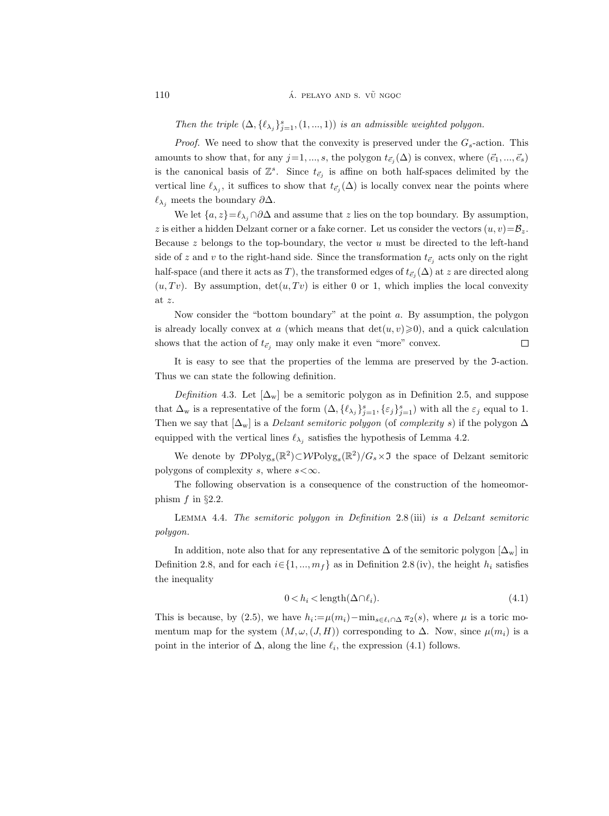Then the triple  $(\Delta, {\ell_{\lambda_j}}_{j=1}^s, (1, ..., 1))$  is an admissible weighted polygon.

*Proof.* We need to show that the convexity is preserved under the  $G_s$ -action. This amounts to show that, for any  $j=1, ..., s$ , the polygon  $t_{\vec{e}_j}(\Delta)$  is convex, where  $(\vec{e}_1, ..., \vec{e}_s)$ is the canonical basis of  $\mathbb{Z}^s$ . Since  $t_{\vec{e}_j}$  is affine on both half-spaces delimited by the vertical line  $\ell_{\lambda_j}$ , it suffices to show that  $t_{\vec{e}_j}(\Delta)$  is locally convex near the points where  $\ell_{\lambda_j}$  meets the boundary  $\partial \Delta$ .

We let  $\{a, z\}=\ell_{\lambda_i} \cap \partial \Delta$  and assume that z lies on the top boundary. By assumption, z is either a hidden Delzant corner or a fake corner. Let us consider the vectors  $(u, v) = \mathcal{B}_z$ . Because  $z$  belongs to the top-boundary, the vector  $u$  must be directed to the left-hand side of z and v to the right-hand side. Since the transformation  $t_{\vec{e}_j}$  acts only on the right half-space (and there it acts as T), the transformed edges of  $t_{\vec{e}_j}(\Delta)$  at  $z$  are directed along  $(u, Tv)$ . By assumption,  $det(u, Tv)$  is either 0 or 1, which implies the local convexity at z.

Now consider the "bottom boundary" at the point a. By assumption, the polygon is already locally convex at a (which means that  $\det(u, v) \geq 0$ ), and a quick calculation shows that the action of  $t_{\vec{e}_i}$  may only make it even "more" convex.  $\Box$ 

It is easy to see that the properties of the lemma are preserved by the I-action. Thus we can state the following definition.

Definition 4.3. Let  $[\Delta_w]$  be a semitoric polygon as in Definition 2.5, and suppose that  $\Delta_{\mathbf{w}}$  is a representative of the form  $(\Delta, {\{\ell_{\lambda_j}\}}_{j=1}^s, {\{\varepsilon_j\}}_{j=1}^s)$  with all the  $\varepsilon_j$  equal to 1. Then we say that  $[\Delta_w]$  is a *Delzant semitoric polygon* (of *complexity s*) if the polygon  $\Delta$ equipped with the vertical lines  $\ell_{\lambda_j}$  satisfies the hypothesis of Lemma 4.2.

We denote by  $\mathcal{D}Polyg_s(\mathbb{R}^2) \subset \mathcal{W}Polyg_s(\mathbb{R}^2)/G_s \times \mathfrak{I}$  the space of Delzant semitoric polygons of complexity s, where  $s < \infty$ .

The following observation is a consequence of the construction of the homeomorphism  $f$  in §2.2.

Lemma 4.4. The semitoric polygon in Definition 2.8 (iii) is a Delzant semitoric polygon.

In addition, note also that for any representative  $\Delta$  of the semitoric polygon  $[\Delta_w]$  in Definition 2.8, and for each  $i \in \{1, ..., m_f\}$  as in Definition 2.8 (iv), the height  $h_i$  satisfies the inequality

$$
0 < h_i < \text{length}(\Delta \cap \ell_i). \tag{4.1}
$$

This is because, by (2.5), we have  $h_i := \mu(m_i) - \min_{s \in \ell_i \cap \Delta} \pi_2(s)$ , where  $\mu$  is a toric momentum map for the system  $(M, \omega, (J, H))$  corresponding to  $\Delta$ . Now, since  $\mu(m_i)$  is a point in the interior of  $\Delta$ , along the line  $\ell_i$ , the expression (4.1) follows.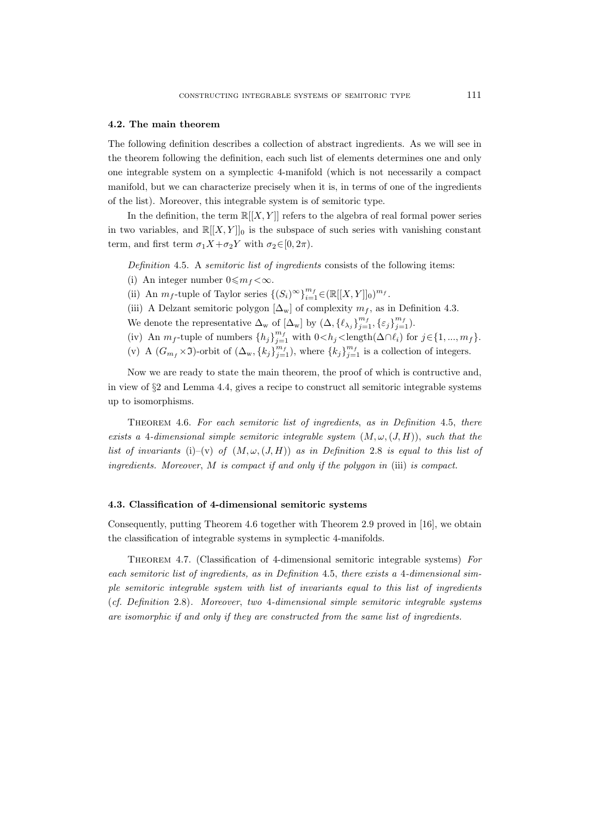#### 4.2. The main theorem

The following definition describes a collection of abstract ingredients. As we will see in the theorem following the definition, each such list of elements determines one and only one integrable system on a symplectic 4-manifold (which is not necessarily a compact manifold, but we can characterize precisely when it is, in terms of one of the ingredients of the list). Moreover, this integrable system is of semitoric type.

In the definition, the term  $\mathbb{R}[[X, Y]]$  refers to the algebra of real formal power series in two variables, and  $\mathbb{R}[[X, Y]]_0$  is the subspace of such series with vanishing constant term, and first term  $\sigma_1 X + \sigma_2 Y$  with  $\sigma_2 \in [0, 2\pi)$ .

Definition 4.5. A semitoric list of ingredients consists of the following items:

- (i) An integer number  $0 \leq m_f < \infty$ .
- (ii) An  $m_f$ -tuple of Taylor series  $\{(S_i)^\infty\}_{i=1}^{m_f} \in (\mathbb{R}[[X, Y]]_0)^{m_f}$ .
- (iii) A Delzant semitoric polygon  $[\Delta_w]$  of complexity  $m_f$ , as in Definition 4.3.
- We denote the representative  $\Delta_{\mathbf{w}}$  of  $[\Delta_{\mathbf{w}}]$  by  $(\Delta, {\{\ell_{\lambda_j}\}}_{j=1}^{m_f}, {\{\varepsilon_j\}}_{j=1}^{m_f}).$
- (iv) An  $m_f$ -tuple of numbers  $\{h_j\}_{j=1}^{m_f}$  with  $0 < h_j <$ length $(\Delta \cap \ell_i)$  for  $j \in \{1, ..., m_f\}$ .
- (v) A  $(G_{m_f} \times \mathfrak{I})$ -orbit of  $(\Delta_w, \{k_j\}_{j=1}^{m_f})$ , where  $\{k_j\}_{j=1}^{m_f}$  is a collection of integers.

Now we are ready to state the main theorem, the proof of which is contructive and, in view of §2 and Lemma 4.4, gives a recipe to construct all semitoric integrable systems up to isomorphisms.

Theorem 4.6. For each semitoric list of ingredients, as in Definition 4.5, there exists a 4-dimensional simple semitoric integrable system  $(M, \omega, (J, H))$ , such that the list of invariants (i)–(v) of  $(M, \omega, (J, H))$  as in Definition 2.8 is equal to this list of ingredients. Moreover, M is compact if and only if the polygon in (iii) is compact.

## 4.3. Classification of 4-dimensional semitoric systems

Consequently, putting Theorem 4.6 together with Theorem 2.9 proved in [16], we obtain the classification of integrable systems in symplectic 4-manifolds.

Theorem 4.7. (Classification of 4-dimensional semitoric integrable systems) For each semitoric list of ingredients, as in Definition 4.5, there exists a 4-dimensional simple semitoric integrable system with list of invariants equal to this list of ingredients (cf. Definition 2.8). Moreover, two 4-dimensional simple semitoric integrable systems are isomorphic if and only if they are constructed from the same list of ingredients.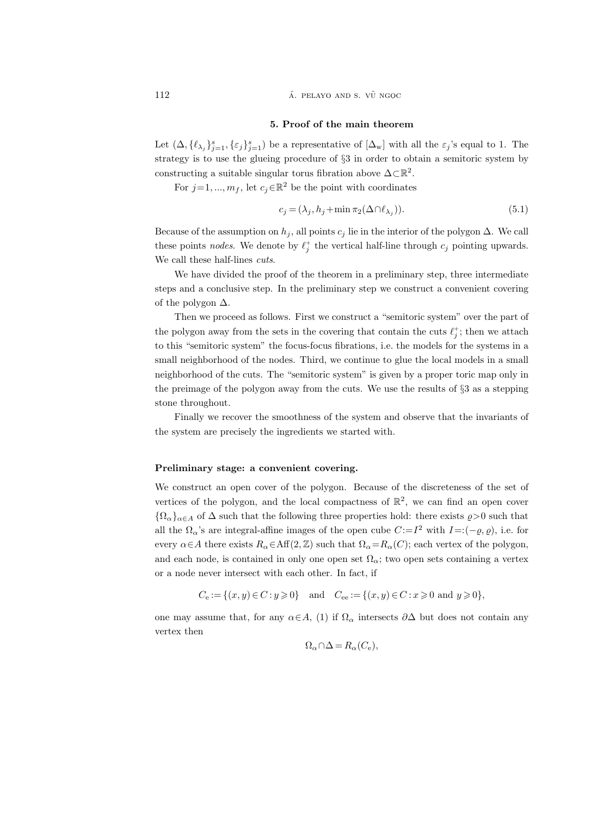$112$  **a.**  $\overline{A}$  **pelayo and s.**  $\overline{V}$  ngoc

#### 5. Proof of the main theorem

Let  $(\Delta, {\{\ell_{\lambda_j}\}}_{j=1}^s, {\{\varepsilon_j\}}_{j=1}^s)$  be a representative of  $[\Delta_w]$  with all the  $\varepsilon_j$ 's equal to 1. The strategy is to use the glueing procedure of §3 in order to obtain a semitoric system by constructing a suitable singular torus fibration above  $\Delta \subset \mathbb{R}^2$ .

For  $j=1, ..., m_f$ , let  $c_j \in \mathbb{R}^2$  be the point with coordinates

$$
c_j = (\lambda_j, h_j + \min \pi_2(\Delta \cap \ell_{\lambda_j})).
$$
\n<sup>(5.1)</sup>

Because of the assumption on  $h_j$ , all points  $c_j$  lie in the interior of the polygon  $\Delta$ . We call these points *nodes*. We denote by  $\ell_j^+$  the vertical half-line through  $c_j$  pointing upwards. We call these half-lines *cuts*.

We have divided the proof of the theorem in a preliminary step, three intermediate steps and a conclusive step. In the preliminary step we construct a convenient covering of the polygon  $\Delta$ .

Then we proceed as follows. First we construct a "semitoric system" over the part of the polygon away from the sets in the covering that contain the cuts  $\ell_j^+$ ; then we attach to this "semitoric system" the focus-focus fibrations, i.e. the models for the systems in a small neighborhood of the nodes. Third, we continue to glue the local models in a small neighborhood of the cuts. The "semitoric system" is given by a proper toric map only in the preimage of the polygon away from the cuts. We use the results of §3 as a stepping stone throughout.

Finally we recover the smoothness of the system and observe that the invariants of the system are precisely the ingredients we started with.

## Preliminary stage: a convenient covering.

We construct an open cover of the polygon. Because of the discreteness of the set of vertices of the polygon, and the local compactness of  $\mathbb{R}^2$ , we can find an open cover  ${\Omega_{\alpha}}_{\alpha\in A}$  of  $\Delta$  such that the following three properties hold: there exists  $\varrho > 0$  such that all the  $\Omega_{\alpha}$ 's are integral-affine images of the open cube  $C:=I^2$  with  $I=(-\varrho,\varrho)$ , i.e. for every  $\alpha \in A$  there exists  $R_{\alpha} \in \text{Aff}(2, \mathbb{Z})$  such that  $\Omega_{\alpha} = R_{\alpha}(C)$ ; each vertex of the polygon, and each node, is contained in only one open set  $\Omega_{\alpha}$ ; two open sets containing a vertex or a node never intersect with each other. In fact, if

$$
C_e := \{(x, y) \in C : y \geqslant 0\} \quad \text{and} \quad C_{ee} := \{(x, y) \in C : x \geqslant 0 \text{ and } y \geqslant 0\},\
$$

one may assume that, for any  $\alpha \in A$ , (1) if  $\Omega_{\alpha}$  intersects  $\partial \Delta$  but does not contain any vertex then

$$
\Omega_{\alpha} \cap \Delta = R_{\alpha}(C_{e}),
$$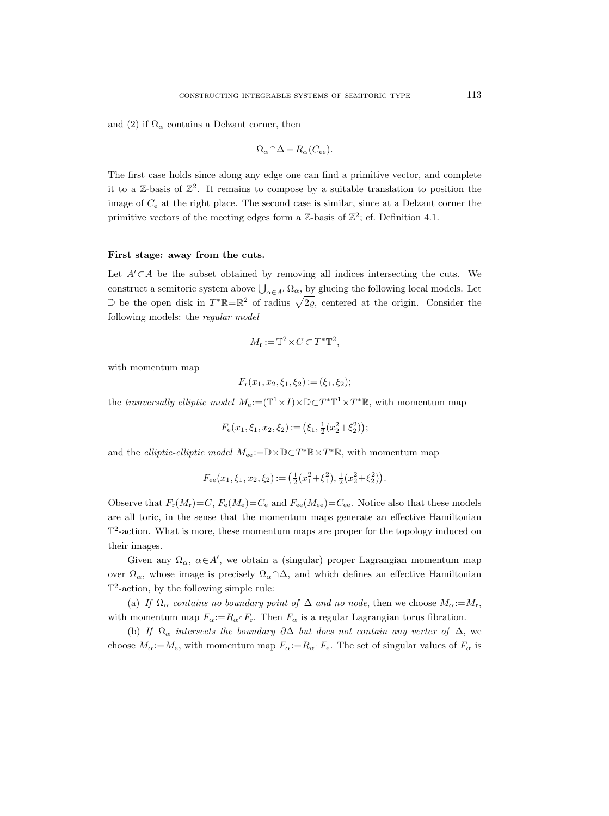and (2) if  $\Omega_{\alpha}$  contains a Delzant corner, then

$$
\Omega_{\alpha} \cap \Delta = R_{\alpha}(C_{\text{ee}}).
$$

The first case holds since along any edge one can find a primitive vector, and complete it to a  $\mathbb{Z}$ -basis of  $\mathbb{Z}^2$ . It remains to compose by a suitable translation to position the image of  $C_e$  at the right place. The second case is similar, since at a Delzant corner the primitive vectors of the meeting edges form a  $\mathbb{Z}$ -basis of  $\mathbb{Z}^2$ ; cf. Definition 4.1.

#### First stage: away from the cuts.

Let  $A' \subset A$  be the subset obtained by removing all indices intersecting the cuts. We construct a semitoric system above  $\bigcup_{\alpha \in A'} \Omega_{\alpha}$ , by glueing the following local models. Let D be the open disk in  $T^*\mathbb{R} = \mathbb{R}^2$  of radius  $\sqrt{2\varrho}$ , centered at the origin. Consider the following models: the regular model

$$
M_{\mathbf{r}} := \mathbb{T}^2 \times C \subset T^* \mathbb{T}^2,
$$

with momentum map

$$
F_{\rm r}(x_1, x_2, \xi_1, \xi_2) := (\xi_1, \xi_2);
$$

the tranversally elliptic model  $M_e:=(\mathbb{T}^1\times I)\times \mathbb{D}\subset T^*\mathbb{T}^1\times T^*\mathbb{R}$ , with momentum map

$$
F_e(x_1, \xi_1, x_2, \xi_2) := (\xi_1, \frac{1}{2}(x_2^2 + \xi_2^2));
$$

and the *elliptic-elliptic model*  $M_{ee} := \mathbb{D} \times \mathbb{D} \subset T^* \mathbb{R} \times T^* \mathbb{R}$ , with momentum map

$$
F_{ee}(x_1, \xi_1, x_2, \xi_2) := \left(\frac{1}{2}(x_1^2 + \xi_1^2), \frac{1}{2}(x_2^2 + \xi_2^2)\right).
$$

Observe that  $F_r(M_r) = C$ ,  $F_e(M_e) = C_e$  and  $F_{ee}(M_{ee}) = C_{ee}$ . Notice also that these models are all toric, in the sense that the momentum maps generate an effective Hamiltonian  $\mathbb{T}^2$ -action. What is more, these momentum maps are proper for the topology induced on their images.

Given any  $\Omega_{\alpha}$ ,  $\alpha \in A'$ , we obtain a (singular) proper Lagrangian momentum map over  $\Omega_{\alpha}$ , whose image is precisely  $\Omega_{\alpha} \cap \Delta$ , and which defines an effective Hamiltonian T 2 -action, by the following simple rule:

(a) If  $\Omega_{\alpha}$  contains no boundary point of  $\Delta$  and no node, then we choose  $M_{\alpha} := M_{r}$ , with momentum map  $F_{\alpha} := R_{\alpha} \circ F_r$ . Then  $F_{\alpha}$  is a regular Lagrangian torus fibration.

(b) If  $\Omega_{\alpha}$  intersects the boundary  $\partial \Delta$  but does not contain any vertex of  $\Delta$ , we choose  $M_{\alpha} := M_{e}$ , with momentum map  $F_{\alpha} := R_{\alpha} \circ F_{e}$ . The set of singular values of  $F_{\alpha}$  is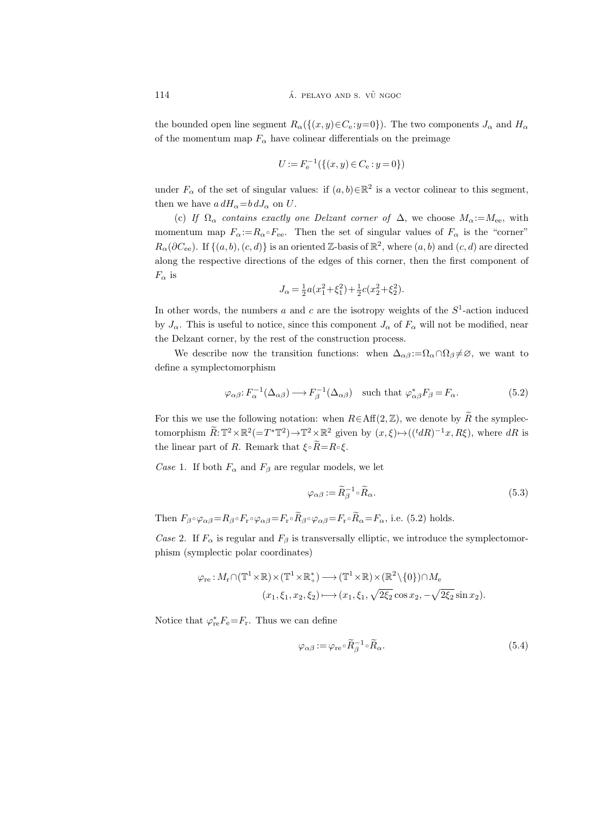the bounded open line segment  $R_{\alpha}(\{(x, y) \in C_{\alpha}: y=0\})$ . The two components  $J_{\alpha}$  and  $H_{\alpha}$ of the momentum map  $F_{\alpha}$  have colinear differentials on the preimage

$$
U := F_{\rm e}^{-1}(\{(x, y) \in C_{\rm e} : y = 0\})
$$

under  $F_{\alpha}$  of the set of singular values: if  $(a, b) \in \mathbb{R}^2$  is a vector colinear to this segment, then we have  $a dH_{\alpha} = b dJ_{\alpha}$  on U.

(c) If  $\Omega_{\alpha}$  contains exactly one Delzant corner of  $\Delta$ , we choose  $M_{\alpha} := M_{ee}$ , with momentum map  $F_{\alpha} := R_{\alpha} \circ F_{\alpha}$ . Then the set of singular values of  $F_{\alpha}$  is the "corner"  $R_{\alpha}(\partial C_{\text{ee}})$ . If  $\{(a, b), (c, d)\}\$ is an oriented Z-basis of  $\mathbb{R}^2$ , where  $(a, b)$  and  $(c, d)$  are directed along the respective directions of the edges of this corner, then the first component of  $F_{\alpha}$  is

$$
J_{\alpha} = \frac{1}{2}a(x_1^2 + \xi_1^2) + \frac{1}{2}c(x_2^2 + \xi_2^2).
$$

In other words, the numbers a and c are the isotropy weights of the  $S<sup>1</sup>$ -action induced by  $J_{\alpha}$ . This is useful to notice, since this component  $J_{\alpha}$  of  $F_{\alpha}$  will not be modified, near the Delzant corner, by the rest of the construction process.

We describe now the transition functions: when  $\Delta_{\alpha\beta} := \Omega_{\alpha} \cap \Omega_{\beta} \neq \emptyset$ , we want to define a symplectomorphism

$$
\varphi_{\alpha\beta} \colon F_{\alpha}^{-1}(\Delta_{\alpha\beta}) \longrightarrow F_{\beta}^{-1}(\Delta_{\alpha\beta}) \quad \text{such that } \varphi_{\alpha\beta}^* F_{\beta} = F_{\alpha}.
$$
 (5.2)

For this we use the following notation: when  $R \in \text{Aff}(2,\mathbb{Z})$ , we denote by  $\widetilde{R}$  the symplectomorphism  $\widetilde{R}$ :  $\mathbb{T}^2 \times \mathbb{R}^2 (=T^*\mathbb{T}^2) \to \mathbb{T}^2 \times \mathbb{R}^2$  given by  $(x,\xi) \mapsto (({}^t dR)^{-1}x, R\xi)$ , where  $dR$  is the linear part of R. Remark that  $\xi \circ \widetilde{R} = R \circ \xi$ .

Case 1. If both  $F_{\alpha}$  and  $F_{\beta}$  are regular models, we let

$$
\varphi_{\alpha\beta} := \widetilde{R}_{\beta}^{-1} \circ \widetilde{R}_{\alpha}.
$$
\n(5.3)

Then  $F_{\beta} \circ \varphi_{\alpha\beta} = R_{\beta} \circ F_{r} \circ \varphi_{\alpha\beta} = F_{r} \circ \widetilde{R}_{\beta} \circ \varphi_{\alpha\beta} = F_{r} \circ \widetilde{R}_{\alpha} = F_{\alpha}$ , i.e. (5.2) holds.

Case 2. If  $F_{\alpha}$  is regular and  $F_{\beta}$  is transversally elliptic, we introduce the symplectomorphism (symplectic polar coordinates)

$$
\varphi_{\rm re}: M_{\rm r}\cap (\mathbb{T}^1\times\mathbb{R})\times (\mathbb{T}^1\times\mathbb{R}_+^*)\longrightarrow (\mathbb{T}^1\times\mathbb{R})\times (\mathbb{R}^2\setminus\{0\})\cap M_{\rm e}
$$

$$
(x_1,\xi_1,x_2,\xi_2)\longmapsto (x_1,\xi_1,\sqrt{2\xi_2}\cos x_2,-\sqrt{2\xi_2}\sin x_2).
$$

Notice that  $\varphi_{\rm re}^* F_{\rm e} = F_{\rm r}$ . Thus we can define

$$
\varphi_{\alpha\beta} := \varphi_{\rm re} \circ \widetilde{R}_{\beta}^{-1} \circ \widetilde{R}_{\alpha}.
$$
\n(5.4)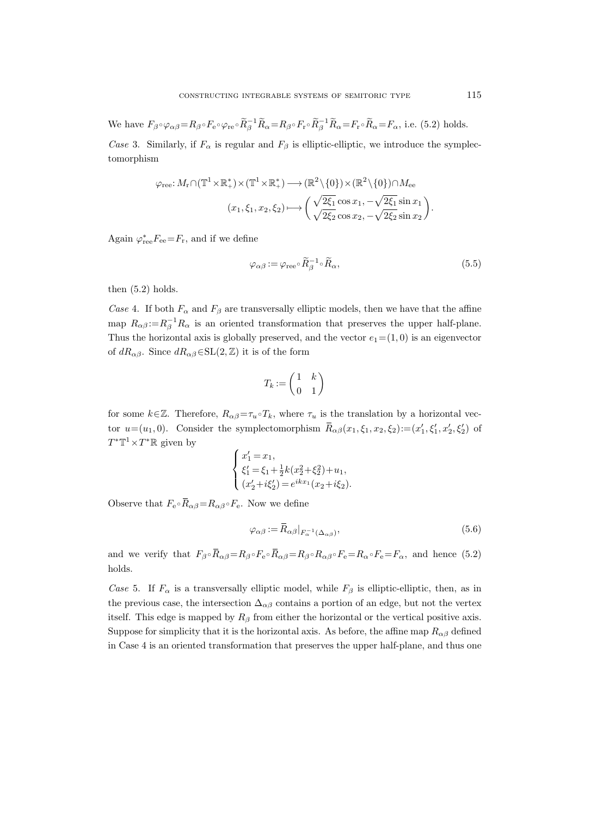We have  $F_{\beta} \circ \varphi_{\alpha\beta} = R_{\beta} \circ F_{e} \circ \varphi_{re} \circ \widetilde{R}_{\beta}^{-1} \widetilde{R}_{\alpha} = R_{\beta} \circ F_{r} \circ \widetilde{R}_{\beta}^{-1} \widetilde{R}_{\alpha} = F_{r} \circ \widetilde{R}_{\alpha} = F_{\alpha}$ , i.e. (5.2) holds.

Case 3. Similarly, if  $F_{\alpha}$  is regular and  $F_{\beta}$  is elliptic-elliptic, we introduce the symplectomorphism

$$
\varphi_{\text{ree}}: M_{r} \cap (\mathbb{T}^{1} \times \mathbb{R}^{*}_{+}) \times (\mathbb{T}^{1} \times \mathbb{R}^{*}_{+}) \longrightarrow (\mathbb{R}^{2} \setminus \{0\}) \times (\mathbb{R}^{2} \setminus \{0\}) \cap M_{\text{ee}}
$$

$$
(x_{1}, \xi_{1}, x_{2}, \xi_{2}) \longmapsto \left(\frac{\sqrt{2\xi_{1}} \cos x_{1}, -\sqrt{2\xi_{1}} \sin x_{1}}{\sqrt{2\xi_{2}} \cos x_{2}, -\sqrt{2\xi_{2}} \sin x_{2}}\right).
$$

Again  $\varphi_{\rm re}^* F_{\rm ee} = F_{\rm r}$ , and if we define

$$
\varphi_{\alpha\beta} := \varphi_{\text{ree}} \circ \widetilde{R}_{\beta}^{-1} \circ \widetilde{R}_{\alpha},\tag{5.5}
$$

then  $(5.2)$  holds.

Case 4. If both  $F_{\alpha}$  and  $F_{\beta}$  are transversally elliptic models, then we have that the affine map  $R_{\alpha\beta} := R_{\beta}^{-1}R_{\alpha}$  is an oriented transformation that preserves the upper half-plane. Thus the horizontal axis is globally preserved, and the vector  $e_1 = (1, 0)$  is an eigenvector of  $dR_{\alpha\beta}$ . Since  $dR_{\alpha\beta} \in SL(2,\mathbb{Z})$  it is of the form

$$
T_k := \begin{pmatrix} 1 & k \\ 0 & 1 \end{pmatrix}
$$

for some  $k\in\mathbb{Z}$ . Therefore,  $R_{\alpha\beta}=\tau_u\circ T_k$ , where  $\tau_u$  is the translation by a horizontal vector  $u=(u_1,0)$ . Consider the symplectomorphism  $\overline{R}_{\alpha\beta}(x_1,\xi_1,x_2,\xi_2) := (x'_1,\xi'_1,x'_2,\xi'_2)$  of  $T^*\mathbb{T}^1 \times T^*\mathbb{R}$  given by

$$
\begin{cases}\nx'_1 = x_1, \\
\xi'_1 = \xi_1 + \frac{1}{2}k(x_2^2 + \xi_2^2) + u_1, \\
(x'_2 + i\xi'_2) = e^{ikx_1}(x_2 + i\xi_2).\n\end{cases}
$$

Observe that  $F_e \circ \bar{R}_{\alpha\beta} = R_{\alpha\beta} \circ F_e$ . Now we define

$$
\varphi_{\alpha\beta} := \bar{R}_{\alpha\beta}|_{F_{\alpha}^{-1}(\Delta_{\alpha\beta})},\tag{5.6}
$$

and we verify that  $F_{\beta} \circ \overline{R}_{\alpha\beta} = R_{\beta} \circ F_{e} \circ \overline{R}_{\alpha\beta} = R_{\beta} \circ R_{\alpha\beta} \circ F_{e} = R_{\alpha} \circ F_{e} = F_{\alpha}$ , and hence (5.2) holds.

Case 5. If  $F_{\alpha}$  is a transversally elliptic model, while  $F_{\beta}$  is elliptic-elliptic, then, as in the previous case, the intersection  $\Delta_{\alpha\beta}$  contains a portion of an edge, but not the vertex itself. This edge is mapped by  $R_\beta$  from either the horizontal or the vertical positive axis. Suppose for simplicity that it is the horizontal axis. As before, the affine map  $R_{\alpha\beta}$  defined in Case 4 is an oriented transformation that preserves the upper half-plane, and thus one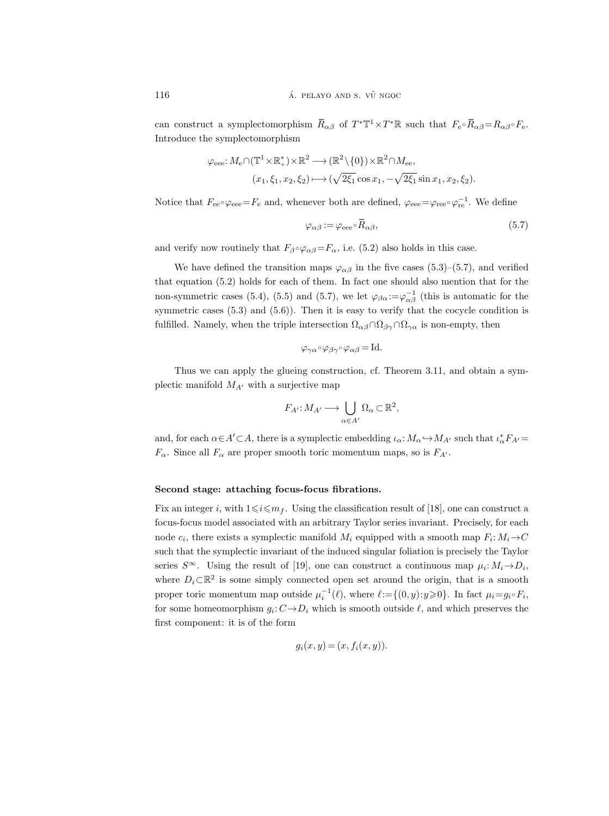can construct a symplectomorphism  $\bar{R}_{\alpha\beta}$  of  $T^*\mathbb{T}^1 \times T^*\mathbb{R}$  such that  $F_e \circ \bar{R}_{\alpha\beta} = R_{\alpha\beta} \circ F_e$ . Introduce the symplectomorphism

$$
\varphi_{\text{eee}}: M_{\text{e}} \cap (\mathbb{T}^1 \times \mathbb{R}_+^*) \times \mathbb{R}^2 \longrightarrow (\mathbb{R}^2 \setminus \{0\}) \times \mathbb{R}^2 \cap M_{\text{ee}},
$$
  

$$
(x_1, \xi_1, x_2, \xi_2) \longmapsto (\sqrt{2\xi_1} \cos x_1, -\sqrt{2\xi_1} \sin x_1, x_2, \xi_2).
$$

Notice that  $F_{ee} \circ \varphi_{eee} = F_e$  and, whenever both are defined,  $\varphi_{eee} = \varphi_{ree} \circ \varphi_{re}^{-1}$ . We define

$$
\varphi_{\alpha\beta} := \varphi_{\text{eee}} \circ \bar{R}_{\alpha\beta},\tag{5.7}
$$

and verify now routinely that  $F_{\beta} \circ \varphi_{\alpha\beta} = F_{\alpha}$ , i.e. (5.2) also holds in this case.

We have defined the transition maps  $\varphi_{\alpha\beta}$  in the five cases (5.3)–(5.7), and verified that equation (5.2) holds for each of them. In fact one should also mention that for the non-symmetric cases (5.4), (5.5) and (5.7), we let  $\varphi_{\beta\alpha} := \varphi_{\alpha\beta}^{-1}$  (this is automatic for the symmetric cases  $(5.3)$  and  $(5.6)$ ). Then it is easy to verify that the cocycle condition is fulfilled. Namely, when the triple intersection  $\Omega_{\alpha\beta} \cap \Omega_{\beta\gamma} \cap \Omega_{\gamma\alpha}$  is non-empty, then

$$
\varphi_{\gamma\alpha} \circ \varphi_{\beta\gamma} \circ \varphi_{\alpha\beta} = \text{Id}.
$$

Thus we can apply the glueing construction, cf. Theorem 3.11, and obtain a symplectic manifold  $M_{A}$  with a surjective map

$$
F_{A'}: M_{A'} \longrightarrow \bigcup_{\alpha \in A'} \Omega_{\alpha} \subset \mathbb{R}^2,
$$

and, for each  $\alpha \in A' \subset A$ , there is a symplectic embedding  $\iota_{\alpha}: M_{\alpha} \hookrightarrow M_{A'}$  such that  $\iota_{\alpha}^* F_{A'} =$  $F_{\alpha}$ . Since all  $F_{\alpha}$  are proper smooth toric momentum maps, so is  $F_{A'}$ .

#### Second stage: attaching focus-focus fibrations.

Fix an integer i, with  $1 \leq i \leq m<sub>f</sub>$ . Using the classification result of [18], one can construct a focus-focus model associated with an arbitrary Taylor series invariant. Precisely, for each node  $c_i$ , there exists a symplectic manifold  $M_i$  equipped with a smooth map  $F_i: M_i \rightarrow C$ such that the symplectic invariant of the induced singular foliation is precisely the Taylor series  $S^{\infty}$ . Using the result of [19], one can construct a continuous map  $\mu_i: M_i \to D_i$ , where  $D_i \subset \mathbb{R}^2$  is some simply connected open set around the origin, that is a smooth proper toric momentum map outside  $\mu_i^{-1}(\ell)$ , where  $\ell := \{(0, y): y \geq 0\}$ . In fact  $\mu_i = g_i \circ F_i$ , for some homeomorphism  $g_i: C \to D_i$  which is smooth outside  $\ell$ , and which preserves the first component: it is of the form

$$
g_i(x, y) = (x, f_i(x, y)).
$$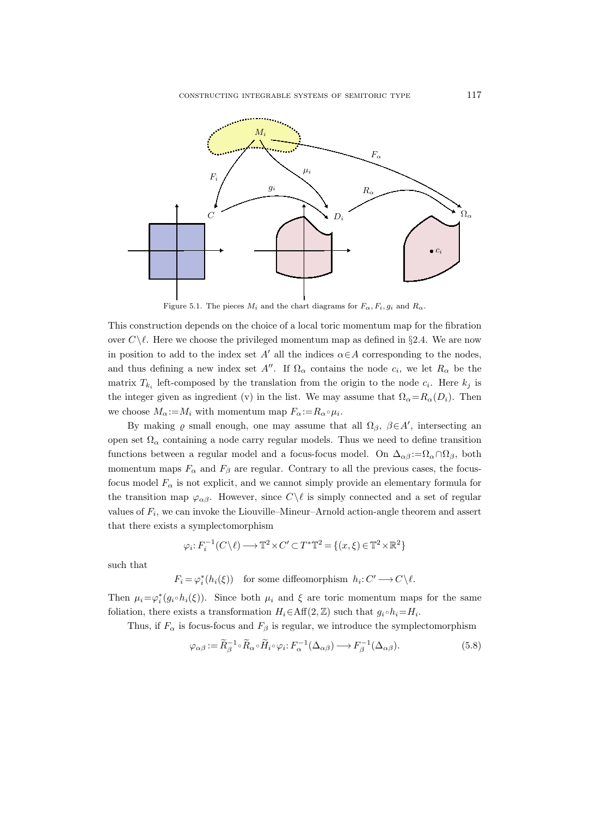

Figure 5.1. The pieces  $M_i$  and the chart diagrams for  $F_{\alpha}$ ,  $F_i$ ,  $g_i$  and  $R_{\alpha}$ .

This construction depends on the choice of a local toric momentum map for the fibration over  $C\setminus\ell$ . Here we choose the privileged momentum map as defined in §2.4. We are now in position to add to the index set A' all the indices  $\alpha \in A$  corresponding to the nodes, and thus defining a new index set  $A''$ . If  $\Omega_{\alpha}$  contains the node  $c_i$ , we let  $R_{\alpha}$  be the matrix  $T_{k_i}$  left-composed by the translation from the origin to the node  $c_i$ . Here  $k_j$  is the integer given as ingredient (v) in the list. We may assume that  $\Omega_{\alpha} = R_{\alpha}(D_i)$ . Then we choose  $M_{\alpha} := M_i$  with momentum map  $F_{\alpha} := R_{\alpha} \circ \mu_i$ .

By making  $\varrho$  small enough, one may assume that all  $\Omega_{\beta}$ ,  $\beta \in A'$ , intersecting an open set  $\Omega_{\alpha}$  containing a node carry regular models. Thus we need to define transition functions between a regular model and a focus-focus model. On  $\Delta_{\alpha\beta} := \Omega_{\alpha} \cap \Omega_{\beta}$ , both momentum maps  $F_{\alpha}$  and  $F_{\beta}$  are regular. Contrary to all the previous cases, the focusfocus model  $F_{\alpha}$  is not explicit, and we cannot simply provide an elementary formula for the transition map  $\varphi_{\alpha\beta}$ . However, since  $C\setminus\ell$  is simply connected and a set of regular values of  $F_i$ , we can invoke the Liouville–Mineur–Arnold action-angle theorem and assert that there exists a symplectomorphism

$$
\varphi_i\!:\!F_i^{-1}(C\backslash\ell)\!\longrightarrow\!\mathbb{T}^2\!\times\!C'\!\subset\!T^*\mathbb{T}^2\!=\!\{(x,\xi)\!\in\!\mathbb{T}^2\!\times\!\mathbb{R}^2\}
$$

such that

$$
F_i = \varphi_i^*(h_i(\xi)) \quad \text{for some diffeomorphism } h_i: C' \longrightarrow C \backslash \ell.
$$

Then  $\mu_i = \varphi_i^*(g_i \circ h_i(\xi))$ . Since both  $\mu_i$  and  $\xi$  are toric momentum maps for the same foliation, there exists a transformation  $H_i \in \text{Aff}(2, \mathbb{Z})$  such that  $g_i \circ h_i = H_i$ .

Thus, if  $F_{\alpha}$  is focus-focus and  $F_{\beta}$  is regular, we introduce the symplectomorphism

$$
\varphi_{\alpha\beta} := \widetilde{R}_{\beta}^{-1} \circ \widetilde{R}_{\alpha} \circ \widetilde{H}_i \circ \varphi_i : F_{\alpha}^{-1}(\Delta_{\alpha\beta}) \longrightarrow F_{\beta}^{-1}(\Delta_{\alpha\beta}).
$$
\n(5.8)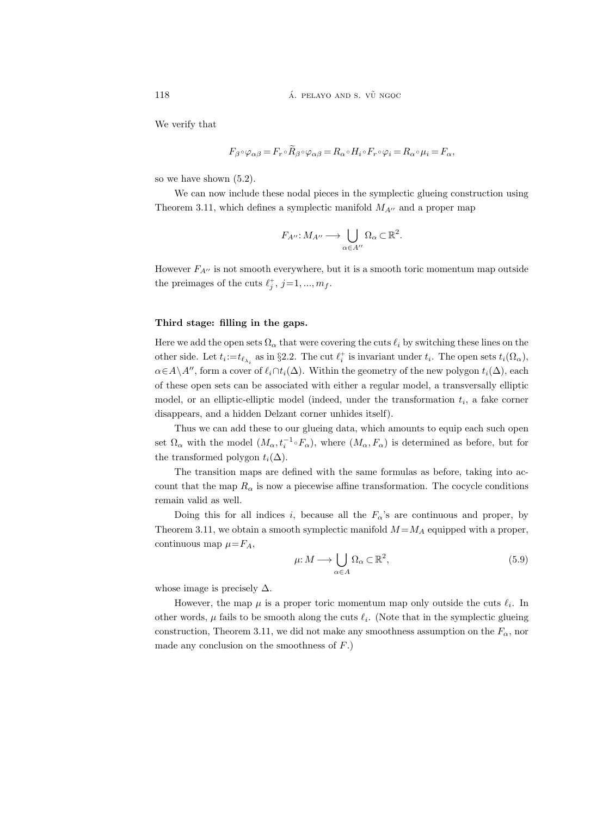We verify that

$$
F_{\beta}\circ \varphi_{\alpha\beta}=F_{r}\circ \widetilde R_{\beta}\circ \varphi_{\alpha\beta}=R_{\alpha}\circ H_{i}\circ F_{r}\circ \varphi_{i}=R_{\alpha}\circ \mu_{i}=F_{\alpha},
$$

so we have shown (5.2).

We can now include these nodal pieces in the symplectic glueing construction using Theorem 3.11, which defines a symplectic manifold  $M_{A}$ <sup> $\prime\prime$ </sup> and a proper map

$$
F_{A''}: M_{A''} \longrightarrow \bigcup_{\alpha \in A''} \Omega_{\alpha} \subset \mathbb{R}^2.
$$

However  $F_{A}$ <sup> $\prime$ </sup> is not smooth everywhere, but it is a smooth toric momentum map outside the preimages of the cuts  $\ell_j^+, j=1, ..., m_f$ .

# Third stage: filling in the gaps.

Here we add the open sets  $\Omega_{\alpha}$  that were covering the cuts  $\ell_i$  by switching these lines on the other side. Let  $t_i := t_{\ell_{\lambda_i}}$  as in §2.2. The cut  $\ell_i^+$  is invariant under  $t_i$ . The open sets  $t_i(\Omega_\alpha)$ ,  $\alpha \in A \setminus A''$ , form a cover of  $\ell_i \cap t_i(\Delta)$ . Within the geometry of the new polygon  $t_i(\Delta)$ , each of these open sets can be associated with either a regular model, a transversally elliptic model, or an elliptic-elliptic model (indeed, under the transformation  $t_i$ , a fake corner disappears, and a hidden Delzant corner unhides itself).

Thus we can add these to our glueing data, which amounts to equip each such open set  $\Omega_{\alpha}$  with the model  $(M_{\alpha}, t_i^{-1} \circ F_{\alpha})$ , where  $(M_{\alpha}, F_{\alpha})$  is determined as before, but for the transformed polygon  $t_i(\Delta)$ .

The transition maps are defined with the same formulas as before, taking into account that the map  $R_{\alpha}$  is now a piecewise affine transformation. The cocycle conditions remain valid as well.

Doing this for all indices i, because all the  $F_\alpha$ 's are continuous and proper, by Theorem 3.11, we obtain a smooth symplectic manifold  $M = M_A$  equipped with a proper, continuous map  $\mu = F_A$ ,

$$
\mu: M \longrightarrow \bigcup_{\alpha \in A} \Omega_{\alpha} \subset \mathbb{R}^2,
$$
\n(5.9)

whose image is precisely  $\Delta$ .

However, the map  $\mu$  is a proper toric momentum map only outside the cuts  $\ell_i$ . In other words,  $\mu$  fails to be smooth along the cuts  $\ell_i$ . (Note that in the symplectic glueing construction, Theorem 3.11, we did not make any smoothness assumption on the  $F_{\alpha}$ , nor made any conclusion on the smoothness of  $F$ .)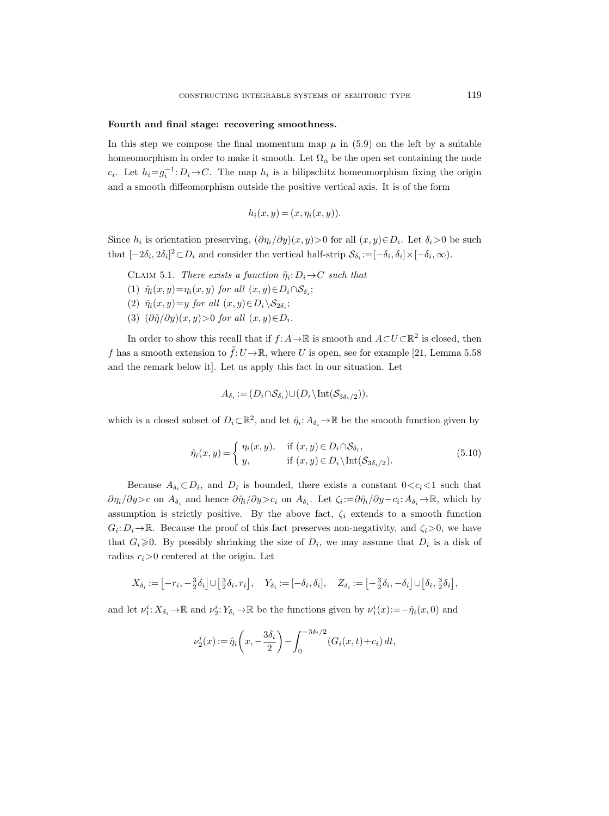#### Fourth and final stage: recovering smoothness.

In this step we compose the final momentum map  $\mu$  in (5.9) on the left by a suitable homeomorphism in order to make it smooth. Let  $\Omega_{\alpha}$  be the open set containing the node  $c_i$ . Let  $h_i = g_i^{-1}: D_i \to C$ . The map  $h_i$  is a bilipschitz homeomorphism fixing the origin and a smooth diffeomorphism outside the positive vertical axis. It is of the form

$$
h_i(x, y) = (x, \eta_i(x, y)).
$$

Since  $h_i$  is orientation preserving,  $(\partial \eta_i/\partial y)(x, y) > 0$  for all  $(x, y) \in D_i$ . Let  $\delta_i > 0$  be such that  $[-2\delta_i, 2\delta_i]^2 \subset D_i$  and consider the vertical half-strip  $\mathcal{S}_{\delta_i} := [-\delta_i, \delta_i] \times [-\delta_i, \infty)$ .

CLAIM 5.1. There exists a function  $\tilde{\eta}_i: D_i \to C$  such that

(1)  $\tilde{\eta}_i(x, y) = \eta_i(x, y)$  for all  $(x, y) \in D_i \cap S_{\delta_i};$ 

(2)  $\tilde{\eta}_i(x, y) = y$  for all  $(x, y) \in D_i \backslash \mathcal{S}_{2\delta_i};$ 

(3)  $(\partial \tilde{\eta}/\partial y)(x, y) > 0$  for all  $(x, y) \in D_i$ .

In order to show this recall that if  $f: A \to \mathbb{R}$  is smooth and  $A \subset U \subset \mathbb{R}^2$  is closed, then f has a smooth extension to  $\tilde{f}:U\to\mathbb{R}$ , where U is open, see for example [21, Lemma 5.58] and the remark below it]. Let us apply this fact in our situation. Let

$$
A_{\delta_i} := (D_i \cap \mathcal{S}_{\delta_i}) \cup (D_i \backslash \text{Int}(\mathcal{S}_{3\delta_i/2})),
$$

which is a closed subset of  $D_i \subset \mathbb{R}^2$ , and let  $\hat{\eta}_i: A_{\delta_i} \to \mathbb{R}$  be the smooth function given by

$$
\hat{\eta}_i(x, y) = \begin{cases} \eta_i(x, y), & \text{if } (x, y) \in D_i \cap \mathcal{S}_{\delta_i}, \\ y, & \text{if } (x, y) \in D_i \setminus \text{Int}(\mathcal{S}_{3\delta_i/2}). \end{cases} (5.10)
$$

Because  $A_{\delta_i} \subset D_i$ , and  $D_i$  is bounded, there exists a constant  $0 < c_i < 1$  such that  $\partial \eta_i/\partial y > c$  on  $A_{\delta_i}$  and hence  $\partial \hat{\eta}_i/\partial y > c_i$  on  $A_{\delta_i}$ . Let  $\zeta_i := \partial \hat{\eta}_i/\partial y - c_i : A_{\delta_i} \to \mathbb{R}$ , which by assumption is strictly positive. By the above fact,  $\zeta_i$  extends to a smooth function  $G_i: D_i \to \mathbb{R}$ . Because the proof of this fact preserves non-negativity, and  $\zeta_i > 0$ , we have that  $G_i \geq 0$ . By possibly shrinking the size of  $D_i$ , we may assume that  $D_i$  is a disk of radius  $r_i>0$  centered at the origin. Let

$$
X_{\delta_i} := [-r_i, -\frac{3}{2}\delta_i] \cup [\frac{3}{2}\delta_i, r_i], \quad Y_{\delta_i} := [-\delta_i, \delta_i], \quad Z_{\delta_i} := [-\frac{3}{2}\delta_i, -\delta_i] \cup [\delta_i, \frac{3}{2}\delta_i],
$$

and let  $\nu_1^i: X_{\delta_i} \to \mathbb{R}$  and  $\nu_2^i: Y_{\delta_i} \to \mathbb{R}$  be the functions given by  $\nu_1^i(x) := -\hat{\eta}_i(x, 0)$  and

$$
\nu_2^i(x) := \hat{\eta}_i\left(x, -\frac{3\delta_i}{2}\right) - \int_0^{-3\delta_i/2} (G_i(x, t) + c_i) dt,
$$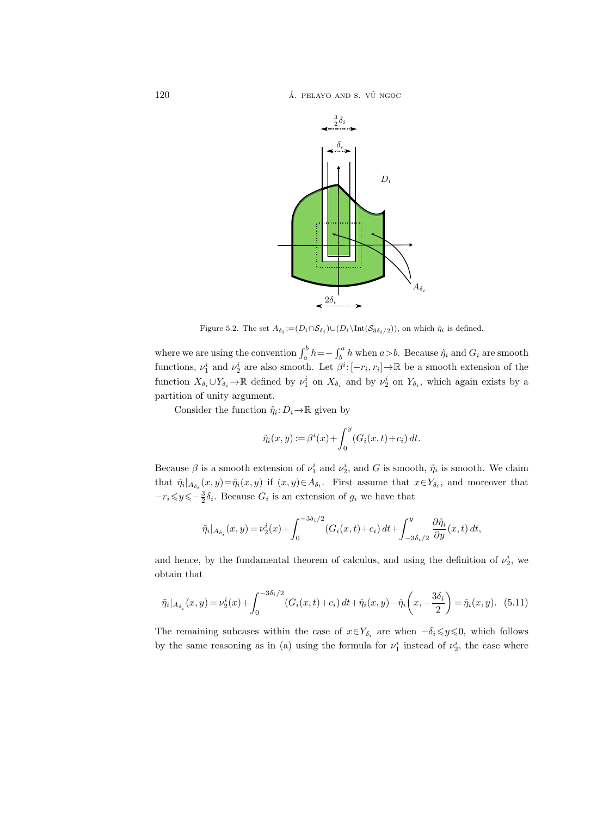$120$  **a.**  $\overline{A}$  **pelayo and s.**  $\overline{V}$  ngoc



Figure 5.2. The set  $A_{\delta_i} := (D_i \cap S_{\delta_i}) \cup (D_i \backslash \text{Int}(S_{3\delta_i/2}))$ , on which  $\hat{\eta}_i$  is defined.

where we are using the convention  $\int_a^b h = -\int_b^a h$  when  $a > b$ . Because  $\hat{\eta}_i$  and  $G_i$  are smooth functions,  $\nu_1^i$  and  $\nu_2^i$  are also smooth. Let  $\beta^i$ :  $[-r_i, r_i] \to \mathbb{R}$  be a smooth extension of the function  $X_{\delta_i} \cup Y_{\delta_i} \to \mathbb{R}$  defined by  $\nu_1^i$  on  $X_{\delta_i}$  and by  $\nu_2^i$  on  $Y_{\delta_i}$ , which again exists by a partition of unity argument.

Consider the function  $\tilde{\eta}_i: D_i \to \mathbb{R}$  given by

$$
\tilde{\eta}_i(x, y) := \beta^i(x) + \int_0^y (G_i(x, t) + c_i) dt.
$$

Because  $\beta$  is a smooth extension of  $\nu_1^i$  and  $\nu_2^i$ , and G is smooth,  $\tilde{\eta}_i$  is smooth. We claim that  $\tilde{\eta}_i|_{A_{\delta_i}}(x,y) = \hat{\eta}_i(x,y)$  if  $(x,y) \in A_{\delta_i}$ . First assume that  $x \in Y_{\delta_i}$ , and moreover that  $-r_i \leq y \leq -\frac{3}{2}\delta_i$ . Because  $G_i$  is an extension of  $g_i$  we have that

$$
\tilde{\eta}_i|_{A_{\delta_i}}(x,y) = \nu_2^i(x) + \int_0^{-3\delta_i/2} (G_i(x,t) + c_i) dt + \int_{-3\delta_i/2}^y \frac{\partial \hat{\eta}_i}{\partial y}(x,t) dt,
$$

and hence, by the fundamental theorem of calculus, and using the definition of  $\nu_2^i$ , we obtain that

$$
\tilde{\eta}_i|_{A_{\delta_i}}(x,y) = \nu_2^i(x) + \int_0^{-3\delta_i/2} (G_i(x,t) + c_i) dt + \hat{\eta}_i(x,y) - \hat{\eta}_i\left(x, -\frac{3\delta_i}{2}\right) = \hat{\eta}_i(x,y). \tag{5.11}
$$

The remaining subcases within the case of  $x \in Y_{\delta_i}$  are when  $-\delta_i \leq y \leq 0$ , which follows by the same reasoning as in (a) using the formula for  $\nu_1^i$  instead of  $\nu_2^i$ , the case where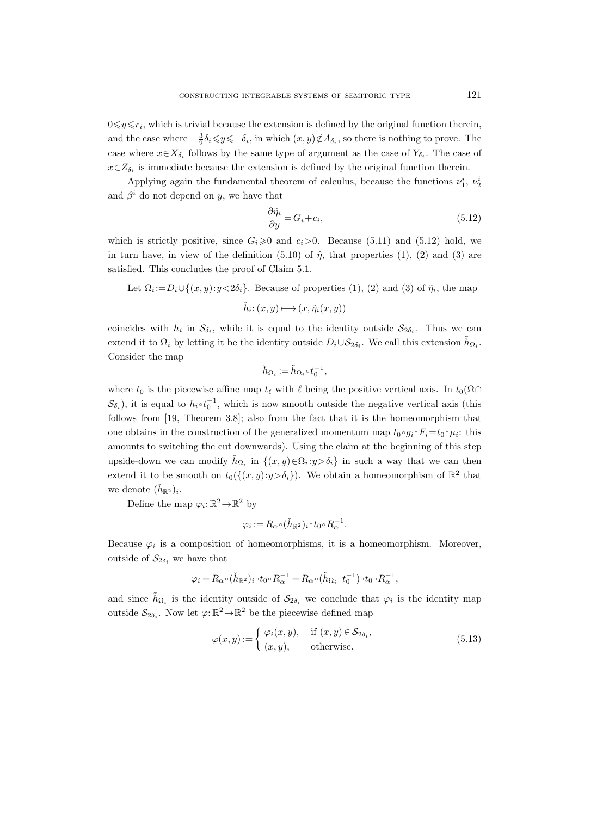$0 \leq y \leq r_i$ , which is trivial because the extension is defined by the original function therein, and the case where  $-\frac{3}{2}\delta_i \leq y \leq -\delta_i$ , in which  $(x, y) \notin A_{\delta_i}$ , so there is nothing to prove. The case where  $x \in X_{\delta_i}$  follows by the same type of argument as the case of  $Y_{\delta_i}$ . The case of  $x \in Z_{\delta_i}$  is immediate because the extension is defined by the original function therein.

Applying again the fundamental theorem of calculus, because the functions  $\nu_1^i$ ,  $\nu_2^i$ and  $\beta^i$  do not depend on y, we have that

$$
\frac{\partial \tilde{\eta}_i}{\partial y} = G_i + c_i,\tag{5.12}
$$

which is strictly positive, since  $G_i \geq 0$  and  $c_i > 0$ . Because (5.11) and (5.12) hold, we in turn have, in view of the definition (5.10) of  $\hat{\eta}$ , that properties (1), (2) and (3) are satisfied. This concludes the proof of Claim 5.1.

Let 
$$
\Omega_i := D_i \cup \{(x, y): y < 2\delta_i\}
$$
. Because of properties (1), (2) and (3) of  $\tilde{\eta}_i$ , the map  $\tilde{h}_i : (x, y) \longmapsto (x, \tilde{\eta}_i(x, y))$ 

coincides with  $h_i$  in  $S_{\delta_i}$ , while it is equal to the identity outside  $S_{2\delta_i}$ . Thus we can extend it to  $\Omega_i$  by letting it be the identity outside  $D_i \cup S_{2\delta_i}$ . We call this extension  $\tilde{h}_{\Omega_i}$ . Consider the map

$$
\check{h}_{\Omega_i} := \tilde{h}_{\Omega_i} \circ t_0^{-1},
$$

where  $t_0$  is the piecewise affine map  $t_\ell$  with  $\ell$  being the positive vertical axis. In  $t_0(\Omega \cap$  $S_{\delta_i}$ ), it is equal to  $h_i \circ t_0^{-1}$ , which is now smooth outside the negative vertical axis (this follows from [19, Theorem 3.8]; also from the fact that it is the homeomorphism that one obtains in the construction of the generalized momentum map  $t_0 \circ g_i \circ F_i = t_0 \circ \mu_i$ : this amounts to switching the cut downwards). Using the claim at the beginning of this step upside-down we can modify  $\check{h}_{\Omega_i}$  in  $\{(x, y) \in \Omega_i : y > \delta_i\}$  in such a way that we can then extend it to be smooth on  $t_0(\{(x,y):y>\delta_i\})$ . We obtain a homeomorphism of  $\mathbb{R}^2$  that we denote  $(\check{h}_{\mathbb{R}^2})_i$ .

Define the map  $\varphi_i: \mathbb{R}^2 \to \mathbb{R}^2$  by

$$
\varphi_i := R_{\alpha} \circ (\check{h}_{\mathbb{R}^2})_i \circ t_0 \circ R_{\alpha}^{-1}.
$$

Because  $\varphi_i$  is a composition of homeomorphisms, it is a homeomorphism. Moreover, outside of  $\mathcal{S}_{2\delta_i}$  we have that

$$
\varphi_i=R_{\alpha}\circ(\check{h}_{\mathbb{R}^2})_i\circ t_0\circ R_{\alpha}^{-1}=R_{\alpha}\circ(\tilde{h}_{\Omega_i}\circ t_0^{-1})\circ t_0\circ R_{\alpha}^{-1},
$$

and since  $\tilde{h}_{\Omega_i}$  is the identity outside of  $\mathcal{S}_{2\delta_i}$  we conclude that  $\varphi_i$  is the identity map outside  $S_{2\delta_i}$ . Now let  $\varphi: \mathbb{R}^2 \to \mathbb{R}^2$  be the piecewise defined map

$$
\varphi(x,y) := \begin{cases} \varphi_i(x,y), & \text{if } (x,y) \in \mathcal{S}_{2\delta_i}, \\ (x,y), & \text{otherwise.} \end{cases}
$$
\n(5.13)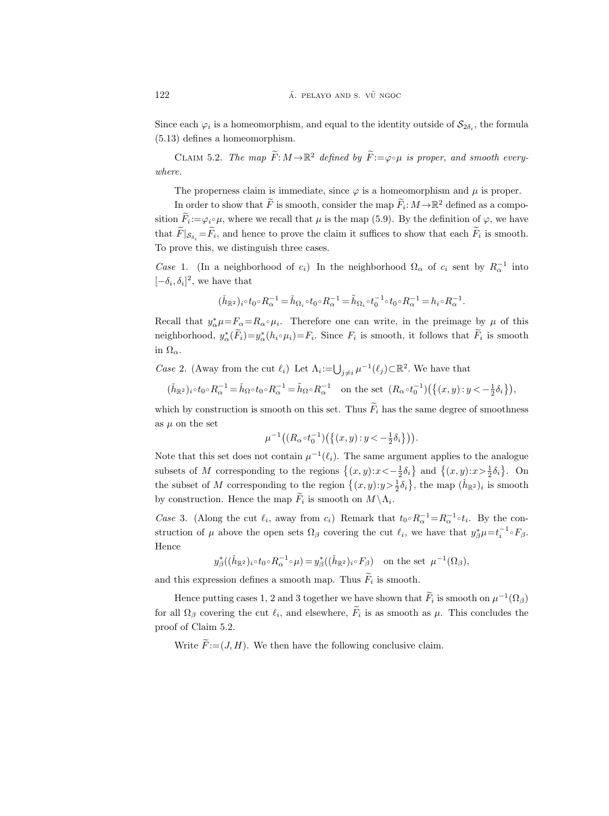Since each  $\varphi_i$  is a homeomorphism, and equal to the identity outside of  $\mathcal{S}_{2\delta_i}$ , the formula (5.13) defines a homeomorphism.

CLAIM 5.2. The map  $\widetilde{F}: M \to \mathbb{R}^2$  defined by  $\widetilde{F}:=\varphi \circ \mu$  is proper, and smooth everywhere.

The properness claim is immediate, since  $\varphi$  is a homeomorphism and  $\mu$  is proper.

In order to show that  $\widetilde{F}$  is smooth, consider the map  $\widetilde{F}_i: M \to \mathbb{R}^2$  defined as a composition  $\widetilde{F}_i := \varphi_i \circ \mu$ , where we recall that  $\mu$  is the map (5.9). By the definition of  $\varphi$ , we have that  $F|_{\mathcal{S}_{\delta_i}} = F_i$ , and hence to prove the claim it suffices to show that each  $F_i$  is smooth. To prove this, we distinguish three cases.

Case 1. (In a neighborhood of  $c_i$ ) In the neighborhood  $\Omega_\alpha$  of  $c_i$  sent by  $R_\alpha^{-1}$  into  $[-\delta_i, \delta_i]^2$ , we have that

$$
(\check{h}_{\mathbb{R}^2})_i\circ t_0\circ R_\alpha^{-1}=\check{h}_{\Omega_i}\circ t_0\circ R_\alpha^{-1}=\tilde{h}_{\Omega_i}\circ t_0^{-1}\circ t_0\circ R_\alpha^{-1}=h_i\circ R_\alpha^{-1}.
$$

Recall that  $y^*_{\alpha}\mu = F_{\alpha} = R_{\alpha} \circ \mu_i$ . Therefore one can write, in the preimage by  $\mu$  of this neighborhood,  $y^*_{\alpha}(\tilde{F}_i) = y^*_{\alpha}(h_i \circ \mu_i) = F_i$ . Since  $F_i$  is smooth, it follows that  $\tilde{F}_i$  is smooth in  $\Omega_{\alpha}$ .

Case 2. (Away from the cut  $\ell_i$ ) Let  $\Lambda_i := \bigcup_{j \neq i} \mu^{-1}(\ell_j) \subset \mathbb{R}^2$ . We have that

$$
(\check{h}_{\mathbb{R}^2})_i \circ t_0 \circ R_\alpha^{-1} = \check{h}_{\Omega} \circ t_0 \circ R_\alpha^{-1} = \tilde{h}_{\Omega} \circ R_\alpha^{-1} \quad \text{on the set } (R_\alpha \circ t_0^{-1}) \left( \left\{ (x, y) : y < -\frac{1}{2} \delta_i \right\} \right),
$$

which by construction is smooth on this set. Thus  $\widetilde{F}_i$  has the same degree of smoothness as  $\mu$  on the set

$$
\mu^{-1}\big((R_{\alpha \circ} t_0^{-1})\big(\big\{(x,y):y < -\frac{1}{2}\delta_i\big\}\big)\big).
$$

Note that this set does not contain  $\mu^{-1}(\ell_i)$ . The same argument applies to the analogue subsets of M corresponding to the regions  $\{(x,y):x < -\frac{1}{2}\delta_i\}$  and  $\{(x,y):x > \frac{1}{2}\delta_i\}$ . On the subset of M corresponding to the region  $\{(x, y): y > \frac{1}{2}\delta_i\}$ , the map  $(\check{h}_{\mathbb{R}^2})_i$  is smooth by construction. Hence the map  $F_i$  is smooth on  $M \backslash \Lambda_i$ .

Case 3. (Along the cut  $\ell_i$ , away from  $c_i$ ) Remark that  $t_0 \circ R_\alpha^{-1} = R_\alpha^{-1} \circ t_i$ . By the construction of  $\mu$  above the open sets  $\Omega_{\beta}$  covering the cut  $\ell_i$ , we have that  $y_{\beta}^* \mu = t_i^{-1} {\circ} F_{\beta}$ . Hence

$$
y^*_{\beta}((\check{h}_{\mathbb{R}^2})_i \circ t_0 \circ R_{\alpha}^{-1} \circ \mu) = y^*_{\beta}((\check{h}_{\mathbb{R}^2})_i \circ F_{\beta}) \text{ on the set } \mu^{-1}(\Omega_{\beta}),
$$

and this expression defines a smooth map. Thus  $F_i$  is smooth.

Hence putting cases 1, 2 and 3 together we have shown that  $\tilde{F}_i$  is smooth on  $\mu^{-1}(\Omega_\beta)$ for all  $\Omega_{\beta}$  covering the cut  $\ell_i$ , and elsewhere,  $F_i$  is as smooth as  $\mu$ . This concludes the proof of Claim 5.2.

Write  $\widetilde{F} := (J, H)$ . We then have the following conclusive claim.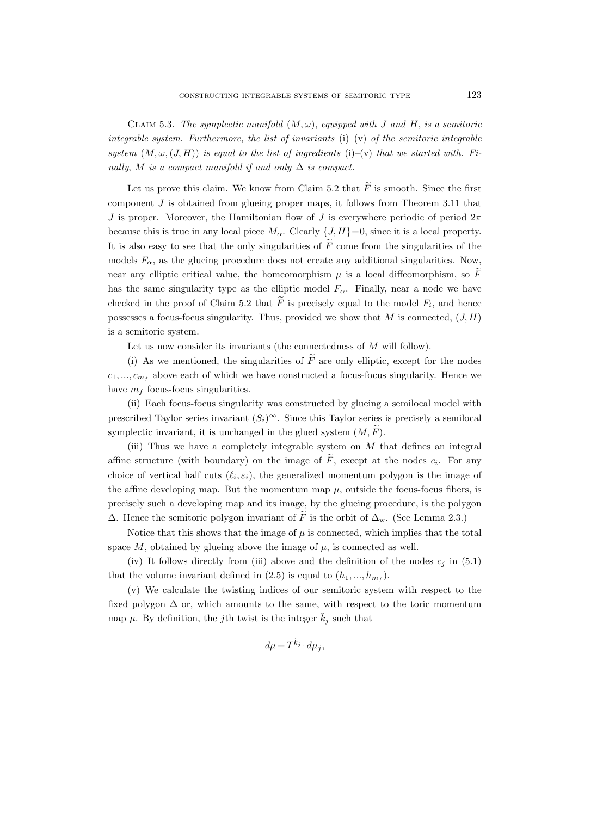CLAIM 5.3. The symplectic manifold  $(M, \omega)$ , equipped with J and H, is a semitoric integrable system. Furthermore, the list of invariants  $(i)-(v)$  of the semitoric integrable system  $(M, \omega, (J, H))$  is equal to the list of ingredients (i)–(v) that we started with. Finally, M is a compact manifold if and only  $\Delta$  is compact.

Let us prove this claim. We know from Claim 5.2 that  $\widetilde{F}$  is smooth. Since the first component J is obtained from glueing proper maps, it follows from Theorem 3.11 that J is proper. Moreover, the Hamiltonian flow of J is everywhere periodic of period  $2\pi$ because this is true in any local piece  $M_{\alpha}$ . Clearly  $\{J, H\}=0$ , since it is a local property. It is also easy to see that the only singularities of  $\tilde{F}$  come from the singularities of the models  $F_{\alpha}$ , as the glueing procedure does not create any additional singularities. Now, near any elliptic critical value, the homeomorphism  $\mu$  is a local diffeomorphism, so F has the same singularity type as the elliptic model  $F_{\alpha}$ . Finally, near a node we have checked in the proof of Claim 5.2 that  $F$  is precisely equal to the model  $F_i$ , and hence possesses a focus-focus singularity. Thus, provided we show that  $M$  is connected,  $(J, H)$ is a semitoric system.

Let us now consider its invariants (the connectedness of M will follow).

(i) As we mentioned, the singularities of  $\tilde{F}$  are only elliptic, except for the nodes  $c_1, ..., c_{m_f}$  above each of which we have constructed a focus-focus singularity. Hence we have  $m_f$  focus-focus singularities.

(ii) Each focus-focus singularity was constructed by glueing a semilocal model with prescribed Taylor series invariant  $(S_i)^\infty$ . Since this Taylor series is precisely a semilocal symplectic invariant, it is unchanged in the glued system  $(M, F)$ .

(iii) Thus we have a completely integrable system on  $M$  that defines an integral affine structure (with boundary) on the image of  $F$ , except at the nodes  $c_i$ . For any choice of vertical half cuts  $(\ell_i, \varepsilon_i)$ , the generalized momentum polygon is the image of the affine developing map. But the momentum map  $\mu$ , outside the focus-focus fibers, is precisely such a developing map and its image, by the glueing procedure, is the polygon  $\Delta$ . Hence the semitoric polygon invariant of  $\widetilde{F}$  is the orbit of  $\Delta_{\rm w}$ . (See Lemma 2.3.)

Notice that this shows that the image of  $\mu$  is connected, which implies that the total space  $M$ , obtained by glueing above the image of  $\mu$ , is connected as well.

(iv) It follows directly from (iii) above and the definition of the nodes  $c_i$  in (5.1) that the volume invariant defined in  $(2.5)$  is equal to  $(h_1, ..., h_{m_f})$ .

(v) We calculate the twisting indices of our semitoric system with respect to the fixed polygon  $\Delta$  or, which amounts to the same, with respect to the toric momentum map  $\mu$ . By definition, the j<sup>th</sup> twist is the integer  $\hat{k}_i$  such that

$$
d\mu = T^{\tilde k_j} \circ d\mu_j,
$$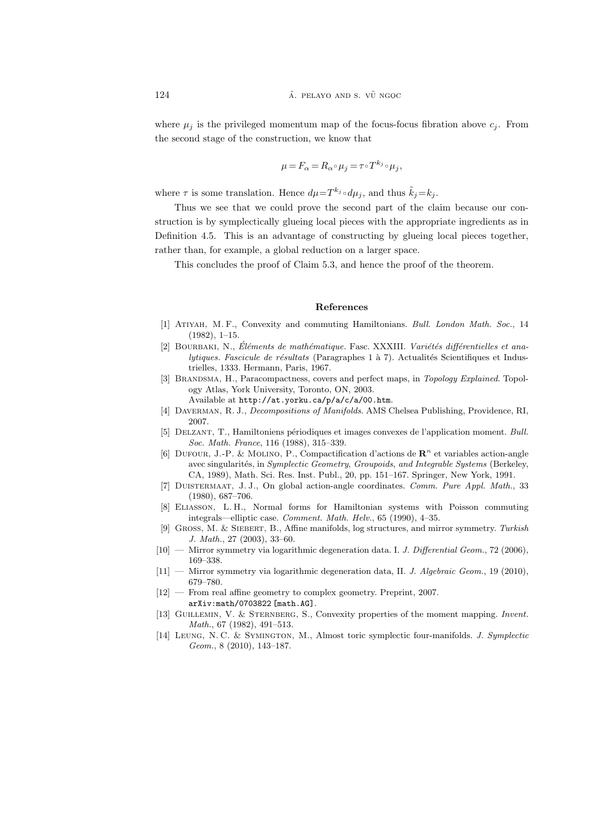where  $\mu_i$  is the privileged momentum map of the focus-focus fibration above  $c_i$ . From the second stage of the construction, we know that

$$
\mu = F_{\alpha} = R_{\alpha} \circ \mu_j = \tau \circ T^{k_j} \circ \mu_j,
$$

where  $\tau$  is some translation. Hence  $d\mu = T^{k_j} \circ d\mu_j$ , and thus  $\tilde{k}_j = k_j$ .

Thus we see that we could prove the second part of the claim because our construction is by symplectically glueing local pieces with the appropriate ingredients as in Definition 4.5. This is an advantage of constructing by glueing local pieces together, rather than, for example, a global reduction on a larger space.

This concludes the proof of Claim 5.3, and hence the proof of the theorem.

#### References

- [1] Atiyah, M. F., Convexity and commuting Hamiltonians. Bull. London Math. Soc., 14 (1982), 1–15.
- [2] BOURBAKI, N., Eléments de mathématique. Fasc. XXXIII. Variétés différentielles et ana $lytiques. Fascicule de résultats (Paragraphes 1 à 7). Actualités Scientificues et Indus$ trielles, 1333. Hermann, Paris, 1967.
- [3] BRANDSMA, H., Paracompactness, covers and perfect maps, in Topology Explained. Topology Atlas, York University, Toronto, ON, 2003.

Available at http://at.yorku.ca/p/a/c/a/00.htm.

- [4] Daverman, R. J., Decompositions of Manifolds. AMS Chelsea Publishing, Providence, RI, 2007.
- [5] Delzant, T., Hamiltoniens p´eriodiques et images convexes de l'application moment. Bull. Soc. Math. France, 116 (1988), 315–339.
- [6] DUFOUR, J.-P. & MOLINO, P., Compactification d'actions de  $\mathbb{R}^n$  et variables action-angle avec singularités, in Symplectic Geometry, Groupoids, and Integrable Systems (Berkeley, CA, 1989), Math. Sci. Res. Inst. Publ., 20, pp. 151–167. Springer, New York, 1991.
- [7] Duistermaat, J. J., On global action-angle coordinates. Comm. Pure Appl. Math., 33 (1980), 687–706.
- [8] Eliasson, L. H., Normal forms for Hamiltonian systems with Poisson commuting integrals—elliptic case. Comment. Math. Helv., 65 (1990), 4–35.
- [9] Gross, M. & Siebert, B., Affine manifolds, log structures, and mirror symmetry. Turkish J. Math., 27 (2003), 33–60.
- [10] Mirror symmetry via logarithmic degeneration data. I. J. Differential Geom., 72 (2006), 169–338.
- [11] Mirror symmetry via logarithmic degeneration data, II. J. Algebraic Geom., 19 (2010), 679–780.
- [12] From real affine geometry to complex geometry. Preprint, 2007. arXiv:math/0703822 [math.AG].
- [13] Guillemin, V. & Sternberg, S., Convexity properties of the moment mapping. Invent. Math., 67 (1982), 491–513.
- [14] Leung, N. C. & Symington, M., Almost toric symplectic four-manifolds. J. Symplectic Geom., 8 (2010), 143–187.